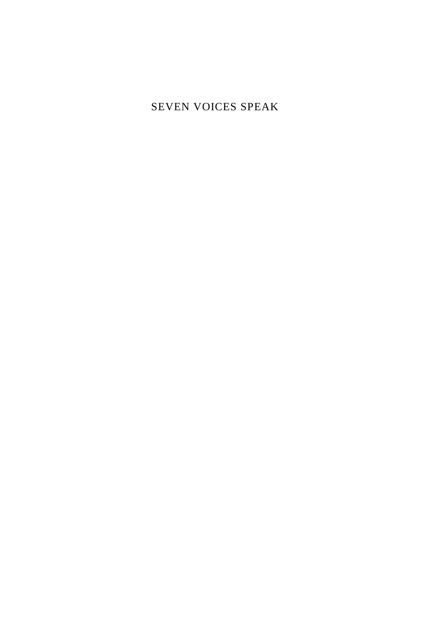# SEVEN VOICES SPEAK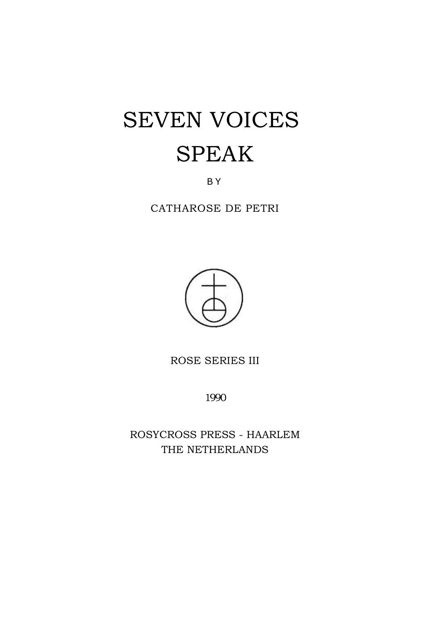# SEVEN VOICES SPEAK

B Y

CATHAROSE DE PETRI



ROSE SERIES III

1990

ROSYCROSS PRESS - HAARLEM THE NETHERLANDS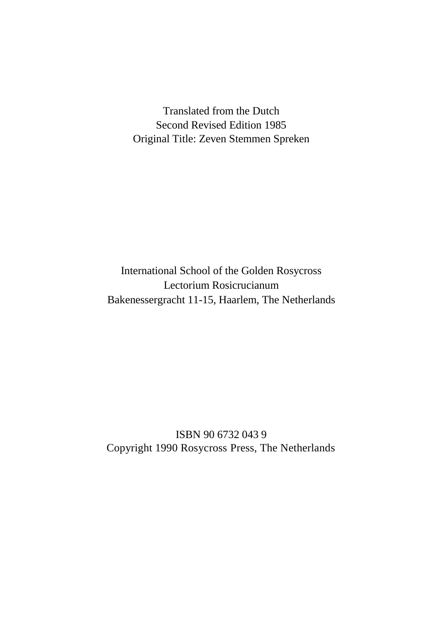Translated from the Dutch Second Revised Edition 1985 Original Title: Zeven Stemmen Spreken

International School of the Golden Rosycross Lectorium Rosicrucianum Bakenessergracht 11-15, Haarlem, The Netherlands

ISBN 90 6732 043 9 Copyright 1990 Rosycross Press, The Netherlands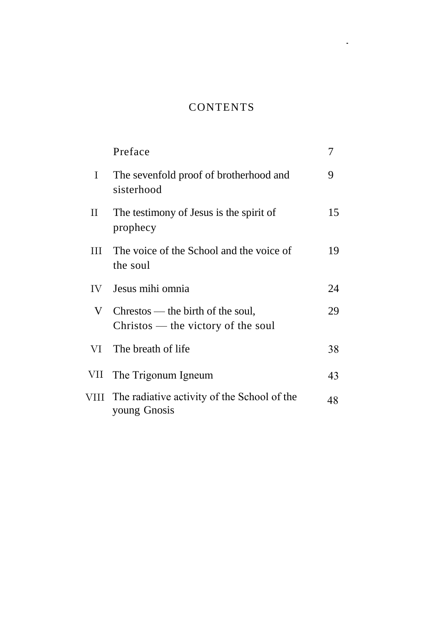# **CONTENTS**

 $\Delta\omega$  .

|      | Preface                                                                   | 7  |
|------|---------------------------------------------------------------------------|----|
| T    | The sevenfold proof of brotherhood and<br>sisterhood                      | 9  |
| П    | The testimony of Jesus is the spirit of<br>prophecy                       | 15 |
| Ш    | The voice of the School and the voice of<br>the soul                      | 19 |
| IV — | Jesus mihi omnia                                                          | 24 |
| V.   | $Chrestos$ — the birth of the soul,<br>Christos — the victory of the soul | 29 |
| VI   | The breath of life                                                        | 38 |
| VII. | The Trigonum Igneum                                                       | 43 |
|      | VIII The radiative activity of the School of the<br>young Gnosis          | 48 |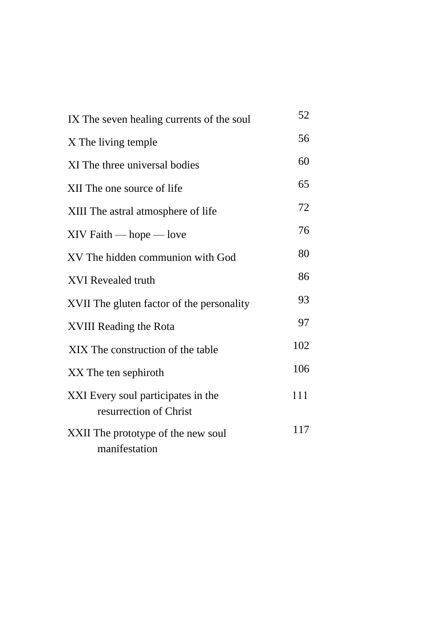| IX The seven healing currents of the soul                    | 52  |
|--------------------------------------------------------------|-----|
| X The living temple                                          | 56  |
| XI The three universal bodies                                | 60  |
| XII The one source of life                                   | 65  |
| XIII The astral atmosphere of life                           | 72  |
| $XIV$ Faith — hope — love                                    | 76  |
| XV The hidden communion with God                             | 80  |
| XVI Revealed truth                                           | 86  |
| XVII The gluten factor of the personality                    | 93  |
| XVIII Reading the Rota                                       | 97  |
| XIX The construction of the table                            | 102 |
| XX The ten sephiroth                                         | 106 |
| XXI Every soul participates in the<br>resurrection of Christ | 111 |
| XXII The prototype of the new soul<br>manifestation          |     |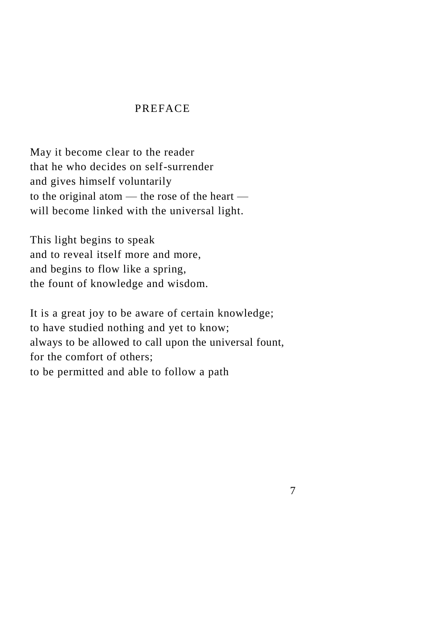#### PREFACE

May it become clear to the reader that he who decides on self-surrender and gives himself voluntarily to the original atom — the rose of the heart will become linked with the universal light.

This light begins to speak and to reveal itself more and more, and begins to flow like a spring, the fount of knowledge and wisdom.

It is a great joy to be aware of certain knowledge; to have studied nothing and yet to know; always to be allowed to call upon the universal fount, for the comfort of others; to be permitted and able to follow a path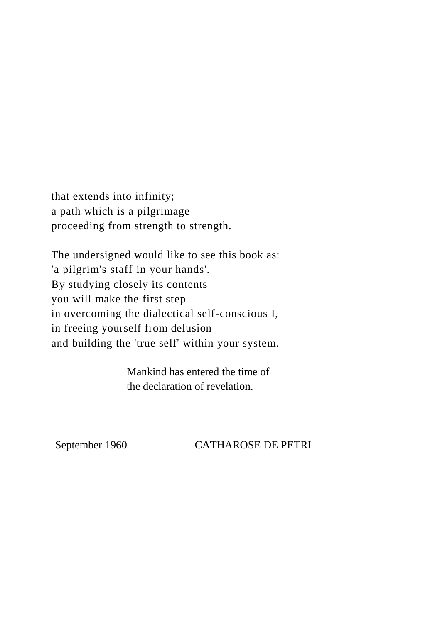that extends into infinity; a path which is a pilgrimage proceeding from strength to strength.

The undersigned would like to see this book as: 'a pilgrim's staff in your hands'. By studying closely its contents you will make the first step in overcoming the dialectical self-conscious I, in freeing yourself from delusion and building the 'true self' within your system.

> Mankind has entered the time of the declaration of revelation.

## September 1960 CATHAROSE DE PETRI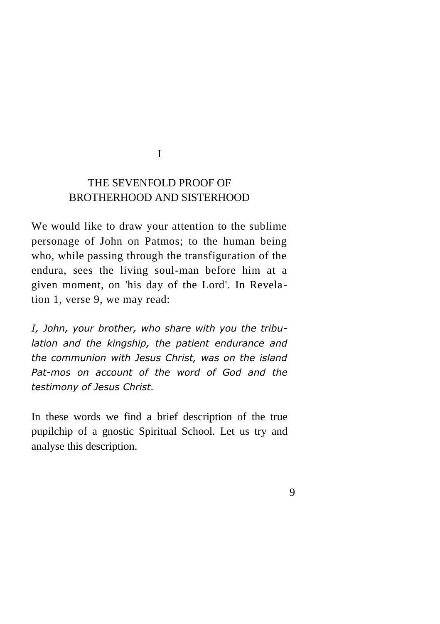I

## THE SEVENFOLD PROOF OF BROTHERHOOD AND SISTERHOOD

We would like to draw your attention to the sublime personage of John on Patmos; to the human being who, while passing through the transfiguration of the endura, sees the living soul-man before him at a given moment, on 'his day of the Lord'. In Revelation 1, verse 9, we may read:

*I, John, your brother, who share with you the tribulation and the kingship, the patient endurance and the communion with Jesus Christ, was on the island Pat-mos on account of the word of God and the testimony of Jesus Christ.*

In these words we find a brief description of the true pupilchip of a gnostic Spiritual School. Let us try and analyse this description.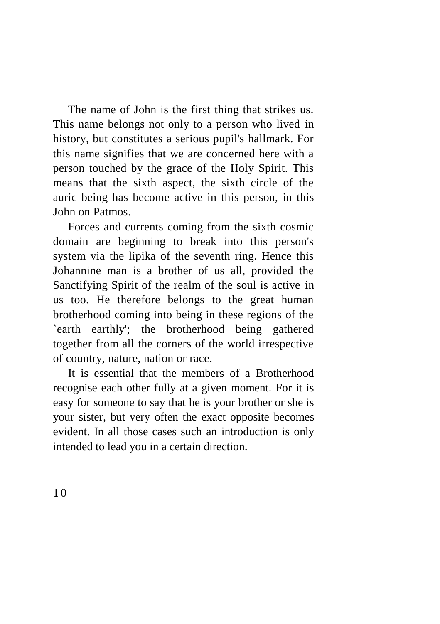The name of John is the first thing that strikes us. This name belongs not only to a person who lived in history, but constitutes a serious pupil's hallmark. For this name signifies that we are concerned here with a person touched by the grace of the Holy Spirit. This means that the sixth aspect, the sixth circle of the auric being has become active in this person, in this John on Patmos.

Forces and currents coming from the sixth cosmic domain are beginning to break into this person's system via the lipika of the seventh ring. Hence this Johannine man is a brother of us all, provided the Sanctifying Spirit of the realm of the soul is active in us too. He therefore belongs to the great human brotherhood coming into being in these regions of the `earth earthly'; the brotherhood being gathered together from all the corners of the world irrespective of country, nature, nation or race.

It is essential that the members of a Brotherhood recognise each other fully at a given moment. For it is easy for someone to say that he is your brother or she is your sister, but very often the exact opposite becomes evident. In all those cases such an introduction is only intended to lead you in a certain direction.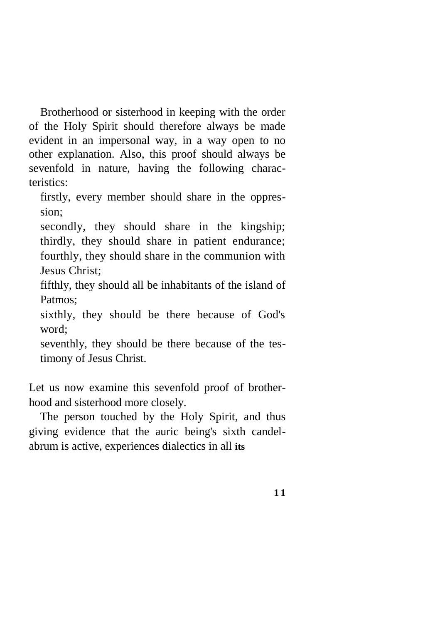Brotherhood or sisterhood in keeping with the order of the Holy Spirit should therefore always be made evident in an impersonal way, in a way open to no other explanation. Also, this proof should always be sevenfold in nature, having the following characteristics:

firstly, every member should share in the oppression;

secondly, they should share in the kingship; thirdly, they should share in patient endurance; fourthly, they should share in the communion with Jesus Christ;

fifthly, they should all be inhabitants of the island of Patmos;

sixthly, they should be there because of God's word;

seventhly, they should be there because of the testimony of Jesus Christ.

Let us now examine this sevenfold proof of brotherhood and sisterhood more closely.

The person touched by the Holy Spirit, and thus giving evidence that the auric being's sixth candelabrum is active, experiences dialectics in all **its**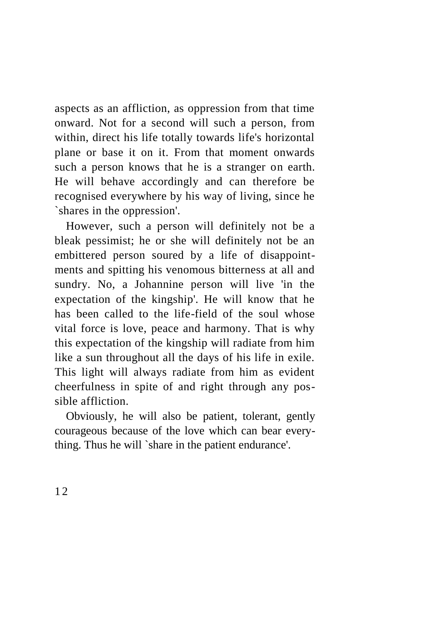aspects as an affliction, as oppression from that time onward. Not for a second will such a person, from within, direct his life totally towards life's horizontal plane or base it on it. From that moment onwards such a person knows that he is a stranger on earth. He will behave accordingly and can therefore be recognised everywhere by his way of living, since he `shares in the oppression'.

However, such a person will definitely not be a bleak pessimist; he or she will definitely not be an embittered person soured by a life of disappointments and spitting his venomous bitterness at all and sundry. No, a Johannine person will live 'in the expectation of the kingship'. He will know that he has been called to the life-field of the soul whose vital force is love, peace and harmony. That is why this expectation of the kingship will radiate from him like a sun throughout all the days of his life in exile. This light will always radiate from him as evident cheerfulness in spite of and right through any possible affliction.

Obviously, he will also be patient, tolerant, gently courageous because of the love which can bear everything. Thus he will `share in the patient endurance'.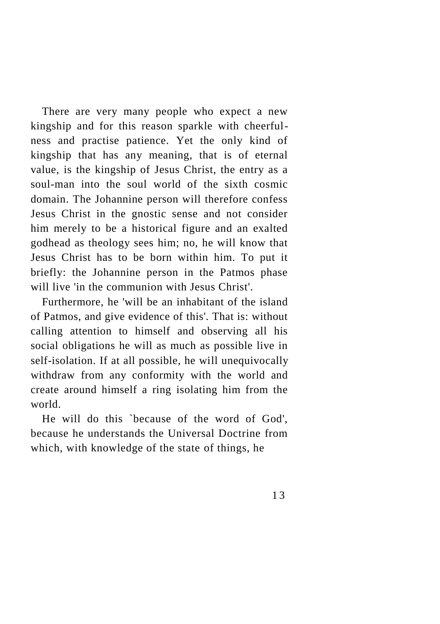There are very many people who expect a new kingship and for this reason sparkle with cheerfulness and practise patience. Yet the only kind of kingship that has any meaning, that is of eternal value, is the kingship of Jesus Christ, the entry as a soul-man into the soul world of the sixth cosmic domain. The Johannine person will therefore confess Jesus Christ in the gnostic sense and not consider him merely to be a historical figure and an exalted godhead as theology sees him; no, he will know that Jesus Christ has to be born within him. To put it briefly: the Johannine person in the Patmos phase will live 'in the communion with Jesus Christ'.

Furthermore, he 'will be an inhabitant of the island of Patmos, and give evidence of this'. That is: without calling attention to himself and observing all his social obligations he will as much as possible live in self-isolation. If at all possible, he will unequivocally withdraw from any conformity with the world and create around himself a ring isolating him from the world.

He will do this `because of the word of God', because he understands the Universal Doctrine from which, with knowledge of the state of things, he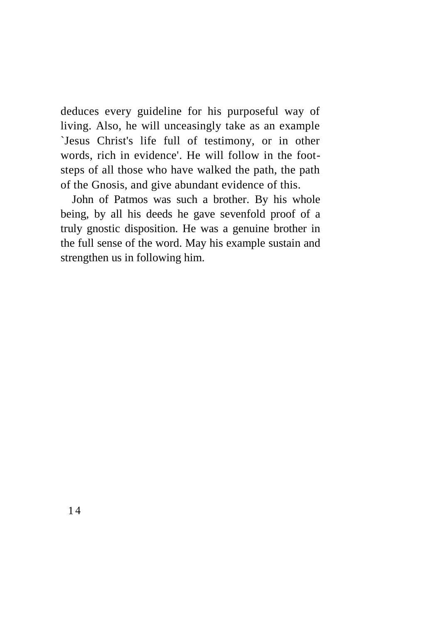deduces every guideline for his purposeful way of living. Also, he will unceasingly take as an example `Jesus Christ's life full of testimony, or in other words, rich in evidence'. He will follow in the footsteps of all those who have walked the path, the path of the Gnosis, and give abundant evidence of this.

John of Patmos was such a brother. By his whole being, by all his deeds he gave sevenfold proof of a truly gnostic disposition. He was a genuine brother in the full sense of the word. May his example sustain and strengthen us in following him.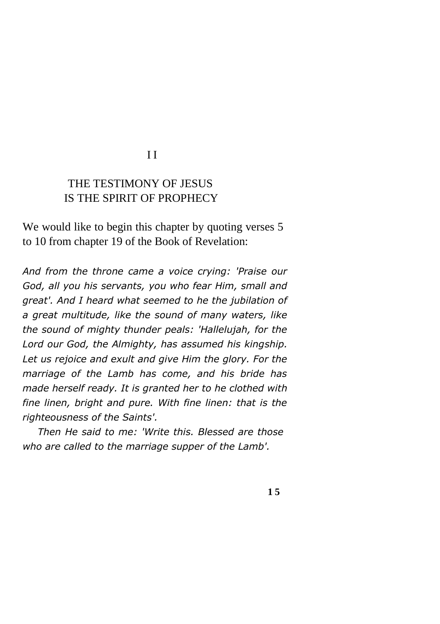#### I I

#### THE TESTIMONY OF JESUS IS THE SPIRIT OF PROPHECY

We would like to begin this chapter by quoting verses 5 to 10 from chapter 19 of the Book of Revelation:

*And from the throne came a voice crying: 'Praise our God, all you his servants, you who fear Him, small and great'. And I heard what seemed to he the jubilation of a great multitude, like the sound of many waters, like the sound of mighty thunder peals: 'Hallelujah, for the Lord our God, the Almighty, has assumed his kingship. Let us rejoice and exult and give Him the glory. For the marriage of the Lamb has come, and his bride has made herself ready. It is granted her to he clothed with fine linen, bright and pure. With fine linen: that is the righteousness of the Saints'.*

*Then He said to me: 'Write this. Blessed are those who are called to the marriage supper of the Lamb'.*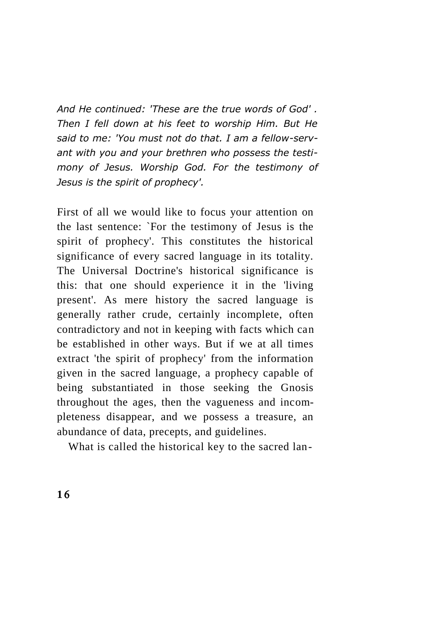*And He continued: 'These are the true words of God' . Then I fell down at his feet to worship Him. But He said to me: 'You must not do that. I am a fellow-servant with you and your brethren who possess the testimony of Jesus. Worship God. For the testimony of Jesus is the spirit of prophecy'.*

First of all we would like to focus your attention on the last sentence: `For the testimony of Jesus is the spirit of prophecy'. This constitutes the historical significance of every sacred language in its totality. The Universal Doctrine's historical significance is this: that one should experience it in the 'living present'. As mere history the sacred language is generally rather crude, certainly incomplete, often contradictory and not in keeping with facts which can be established in other ways. But if we at all times extract 'the spirit of prophecy' from the information given in the sacred language, a prophecy capable of being substantiated in those seeking the Gnosis throughout the ages, then the vagueness and incompleteness disappear, and we possess a treasure, an abundance of data, precepts, and guidelines.

What is called the historical key to the sacred lan-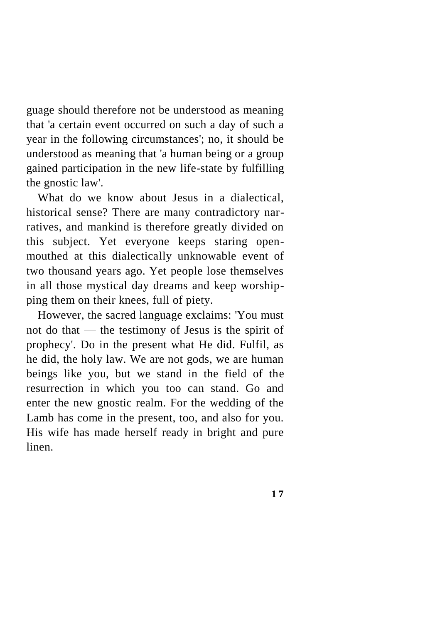guage should therefore not be understood as meaning that 'a certain event occurred on such a day of such a year in the following circumstances'; no, it should be understood as meaning that 'a human being or a group gained participation in the new life-state by fulfilling the gnostic law'.

What do we know about Jesus in a dialectical. historical sense? There are many contradictory narratives, and mankind is therefore greatly divided on this subject. Yet everyone keeps staring openmouthed at this dialectically unknowable event of two thousand years ago. Yet people lose themselves in all those mystical day dreams and keep worshipping them on their knees, full of piety.

However, the sacred language exclaims: 'You must not do that — the testimony of Jesus is the spirit of prophecy'. Do in the present what He did. Fulfil, as he did, the holy law. We are not gods, we are human beings like you, but we stand in the field of the resurrection in which you too can stand. Go and enter the new gnostic realm. For the wedding of the Lamb has come in the present, too, and also for you. His wife has made herself ready in bright and pure linen.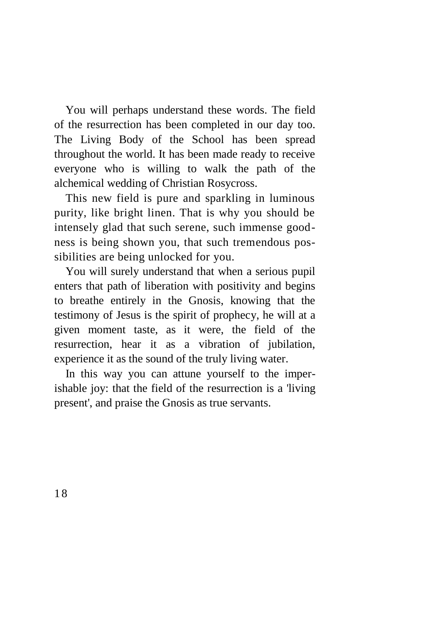You will perhaps understand these words. The field of the resurrection has been completed in our day too. The Living Body of the School has been spread throughout the world. It has been made ready to receive everyone who is willing to walk the path of the alchemical wedding of Christian Rosycross.

This new field is pure and sparkling in luminous purity, like bright linen. That is why you should be intensely glad that such serene, such immense goodness is being shown you, that such tremendous possibilities are being unlocked for you.

You will surely understand that when a serious pupil enters that path of liberation with positivity and begins to breathe entirely in the Gnosis, knowing that the testimony of Jesus is the spirit of prophecy, he will at a given moment taste, as it were, the field of the resurrection, hear it as a vibration of jubilation, experience it as the sound of the truly living water.

In this way you can attune yourself to the imperishable joy: that the field of the resurrection is a 'living present', and praise the Gnosis as true servants.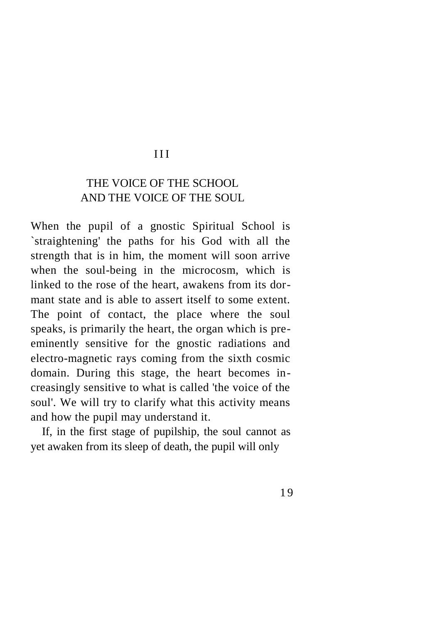#### I I I

# THE VOICE OF THE SCHOOL AND THE VOICE OF THE SOUL

When the pupil of a gnostic Spiritual School is `straightening' the paths for his God with all the strength that is in him, the moment will soon arrive when the soul-being in the microcosm, which is linked to the rose of the heart, awakens from its dormant state and is able to assert itself to some extent. The point of contact, the place where the soul speaks, is primarily the heart, the organ which is preeminently sensitive for the gnostic radiations and electro-magnetic rays coming from the sixth cosmic domain. During this stage, the heart becomes increasingly sensitive to what is called 'the voice of the soul'. We will try to clarify what this activity means and how the pupil may understand it.

If, in the first stage of pupilship, the soul cannot as yet awaken from its sleep of death, the pupil will only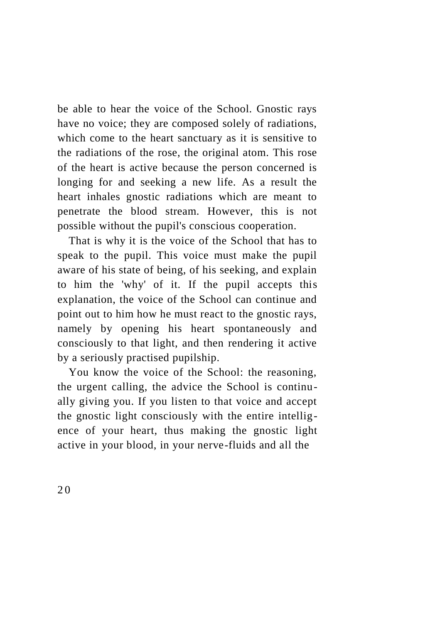be able to hear the voice of the School. Gnostic rays have no voice; they are composed solely of radiations, which come to the heart sanctuary as it is sensitive to the radiations of the rose, the original atom. This rose of the heart is active because the person concerned is longing for and seeking a new life. As a result the heart inhales gnostic radiations which are meant to penetrate the blood stream. However, this is not possible without the pupil's conscious cooperation.

That is why it is the voice of the School that has to speak to the pupil. This voice must make the pupil aware of his state of being, of his seeking, and explain to him the 'why' of it. If the pupil accepts this explanation, the voice of the School can continue and point out to him how he must react to the gnostic rays, namely by opening his heart spontaneously and consciously to that light, and then rendering it active by a seriously practised pupilship.

You know the voice of the School: the reasoning, the urgent calling, the advice the School is continually giving you. If you listen to that voice and accept the gnostic light consciously with the entire intelligence of your heart, thus making the gnostic light active in your blood, in your nerve-fluids and all the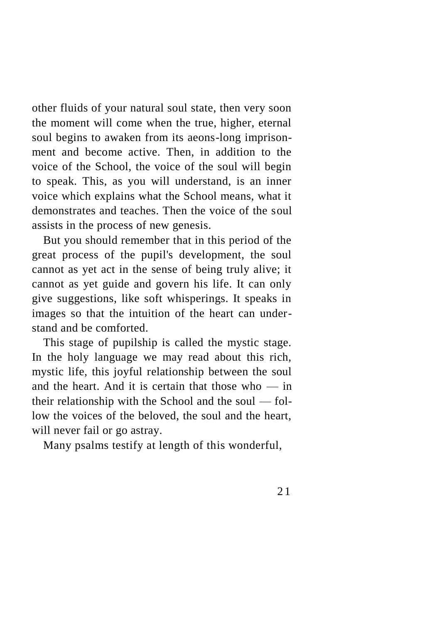other fluids of your natural soul state, then very soon the moment will come when the true, higher, eternal soul begins to awaken from its aeons-long imprisonment and become active. Then, in addition to the voice of the School, the voice of the soul will begin to speak. This, as you will understand, is an inner voice which explains what the School means, what it demonstrates and teaches. Then the voice of the soul assists in the process of new genesis.

But you should remember that in this period of the great process of the pupil's development, the soul cannot as yet act in the sense of being truly alive; it cannot as yet guide and govern his life. It can only give suggestions, like soft whisperings. It speaks in images so that the intuition of the heart can understand and be comforted.

This stage of pupilship is called the mystic stage. In the holy language we may read about this rich, mystic life, this joyful relationship between the soul and the heart. And it is certain that those who — in their relationship with the School and the soul — follow the voices of the beloved, the soul and the heart, will never fail or go astray.

Many psalms testify at length of this wonderful,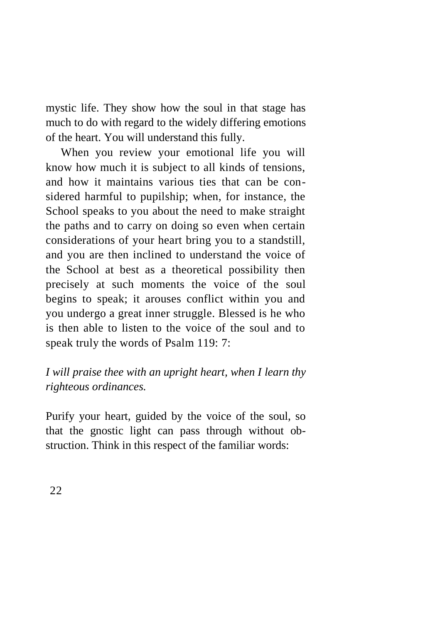mystic life. They show how the soul in that stage has much to do with regard to the widely differing emotions of the heart. You will understand this fully.

When you review your emotional life you will know how much it is subject to all kinds of tensions, and how it maintains various ties that can be considered harmful to pupilship; when, for instance, the School speaks to you about the need to make straight the paths and to carry on doing so even when certain considerations of your heart bring you to a standstill, and you are then inclined to understand the voice of the School at best as a theoretical possibility then precisely at such moments the voice of the soul begins to speak; it arouses conflict within you and you undergo a great inner struggle. Blessed is he who is then able to listen to the voice of the soul and to speak truly the words of Psalm 119: 7:

*I will praise thee with an upright heart, when I learn thy righteous ordinances.*

Purify your heart, guided by the voice of the soul, so that the gnostic light can pass through without obstruction. Think in this respect of the familiar words: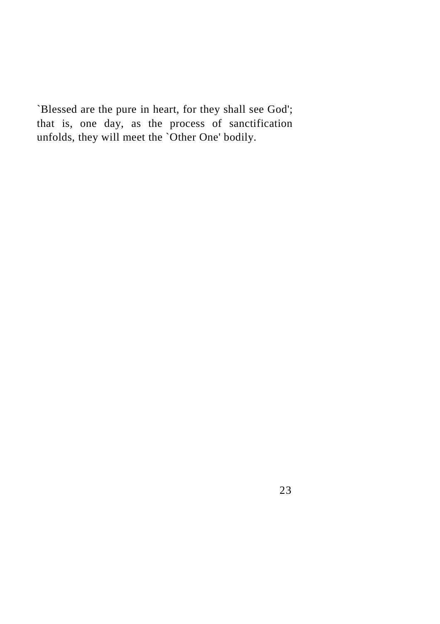`Blessed are the pure in heart, for they shall see God'; that is, one day, as the process of sanctification unfolds, they will meet the `Other One' bodily.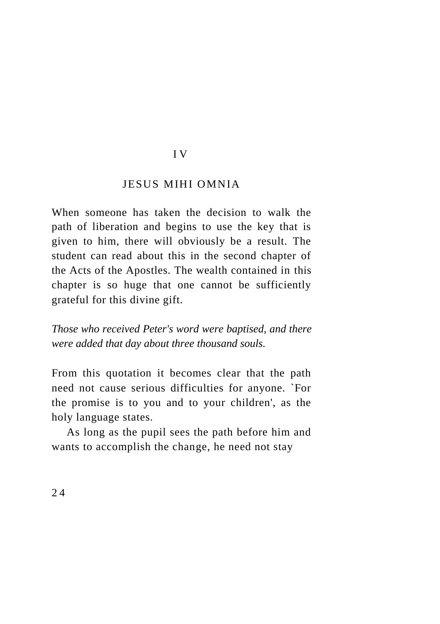#### I V

#### JESUS MIHI OMNIA

When someone has taken the decision to walk the path of liberation and begins to use the key that is given to him, there will obviously be a result. The student can read about this in the second chapter of the Acts of the Apostles. The wealth contained in this chapter is so huge that one cannot be sufficiently grateful for this divine gift.

*Those who received Peter's word were baptised, and there were added that day about three thousand souls.*

From this quotation it becomes clear that the path need not cause serious difficulties for anyone. `For the promise is to you and to your children', as the holy language states.

As long as the pupil sees the path before him and wants to accomplish the change, he need not stay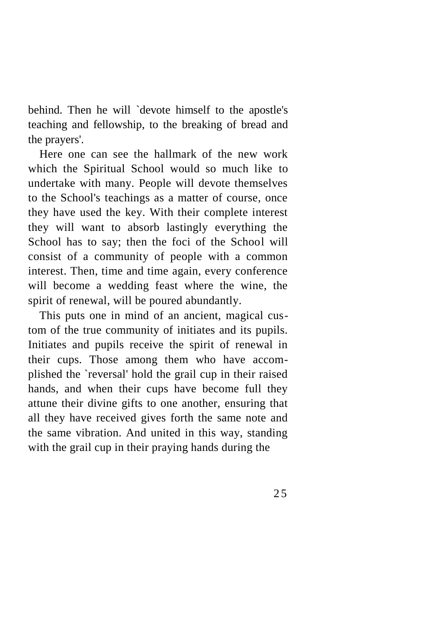behind. Then he will `devote himself to the apostle's teaching and fellowship, to the breaking of bread and the prayers'.

Here one can see the hallmark of the new work which the Spiritual School would so much like to undertake with many. People will devote themselves to the School's teachings as a matter of course, once they have used the key. With their complete interest they will want to absorb lastingly everything the School has to say; then the foci of the School will consist of a community of people with a common interest. Then, time and time again, every conference will become a wedding feast where the wine, the spirit of renewal, will be poured abundantly.

This puts one in mind of an ancient, magical custom of the true community of initiates and its pupils. Initiates and pupils receive the spirit of renewal in their cups. Those among them who have accomplished the `reversal' hold the grail cup in their raised hands, and when their cups have become full they attune their divine gifts to one another, ensuring that all they have received gives forth the same note and the same vibration. And united in this way, standing with the grail cup in their praying hands during the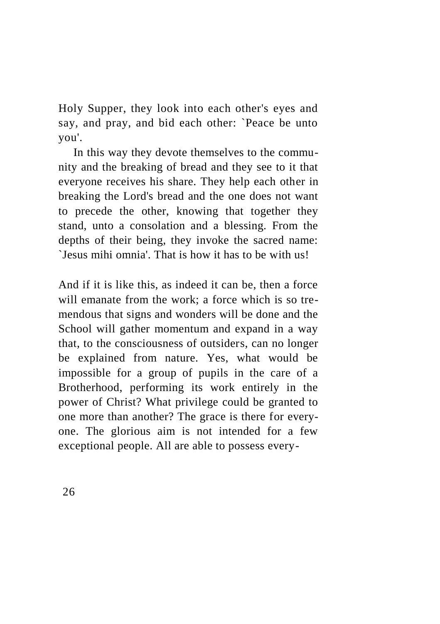Holy Supper, they look into each other's eyes and say, and pray, and bid each other: `Peace be unto you'.

In this way they devote themselves to the community and the breaking of bread and they see to it that everyone receives his share. They help each other in breaking the Lord's bread and the one does not want to precede the other, knowing that together they stand, unto a consolation and a blessing. From the depths of their being, they invoke the sacred name: `Jesus mihi omnia'. That is how it has to be with us!

And if it is like this, as indeed it can be, then a force will emanate from the work; a force which is so tremendous that signs and wonders will be done and the School will gather momentum and expand in a way that, to the consciousness of outsiders, can no longer be explained from nature. Yes, what would be impossible for a group of pupils in the care of a Brotherhood, performing its work entirely in the power of Christ? What privilege could be granted to one more than another? The grace is there for everyone. The glorious aim is not intended for a few exceptional people. All are able to possess every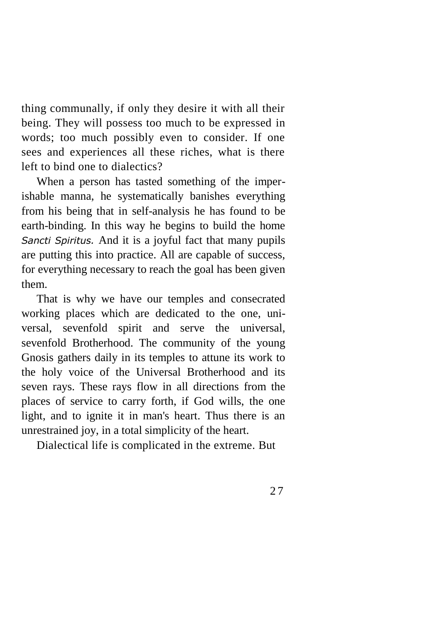thing communally, if only they desire it with all their being. They will possess too much to be expressed in words; too much possibly even to consider. If one sees and experiences all these riches, what is there left to bind one to dialectics?

When a person has tasted something of the imperishable manna, he systematically banishes everything from his being that in self-analysis he has found to be earth-binding. In this way he begins to build the home *Sancti Spiritus.* And it is a joyful fact that many pupils are putting this into practice. All are capable of success, for everything necessary to reach the goal has been given them.

That is why we have our temples and consecrated working places which are dedicated to the one, universal, sevenfold spirit and serve the universal, sevenfold Brotherhood. The community of the young Gnosis gathers daily in its temples to attune its work to the holy voice of the Universal Brotherhood and its seven rays. These rays flow in all directions from the places of service to carry forth, if God wills, the one light, and to ignite it in man's heart. Thus there is an unrestrained joy, in a total simplicity of the heart.

Dialectical life is complicated in the extreme. But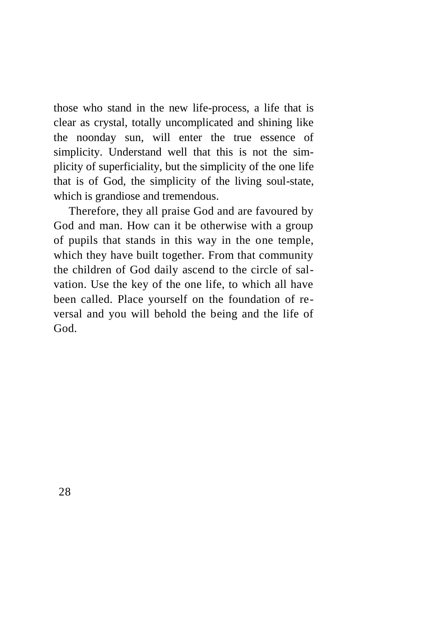those who stand in the new life-process, a life that is clear as crystal, totally uncomplicated and shining like the noonday sun, will enter the true essence of simplicity. Understand well that this is not the simplicity of superficiality, but the simplicity of the one life that is of God, the simplicity of the living soul-state, which is grandiose and tremendous.

Therefore, they all praise God and are favoured by God and man. How can it be otherwise with a group of pupils that stands in this way in the one temple, which they have built together. From that community the children of God daily ascend to the circle of salvation. Use the key of the one life, to which all have been called. Place yourself on the foundation of reversal and you will behold the being and the life of God.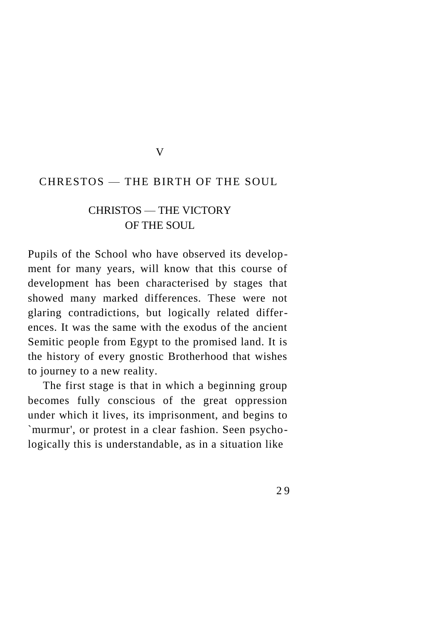#### CHRESTOS — THE BIRTH OF THE SOUL

V

#### CHRISTOS — THE VICTORY OF THE SOUL.

Pupils of the School who have observed its development for many years, will know that this course of development has been characterised by stages that showed many marked differences. These were not glaring contradictions, but logically related differences. It was the same with the exodus of the ancient Semitic people from Egypt to the promised land. It is the history of every gnostic Brotherhood that wishes to journey to a new reality.

The first stage is that in which a beginning group becomes fully conscious of the great oppression under which it lives, its imprisonment, and begins to `murmur', or protest in a clear fashion. Seen psychologically this is understandable, as in a situation like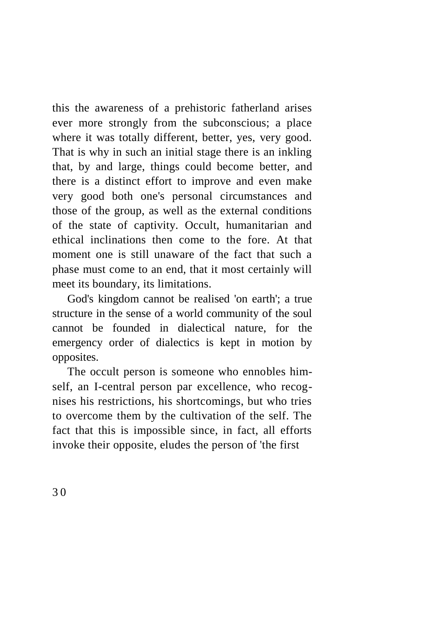this the awareness of a prehistoric fatherland arises ever more strongly from the subconscious; a place where it was totally different, better, yes, very good. That is why in such an initial stage there is an inkling that, by and large, things could become better, and there is a distinct effort to improve and even make very good both one's personal circumstances and those of the group, as well as the external conditions of the state of captivity. Occult, humanitarian and ethical inclinations then come to the fore. At that moment one is still unaware of the fact that such a phase must come to an end, that it most certainly will meet its boundary, its limitations.

God's kingdom cannot be realised 'on earth'; a true structure in the sense of a world community of the soul cannot be founded in dialectical nature, for the emergency order of dialectics is kept in motion by opposites.

The occult person is someone who ennobles himself, an I-central person par excellence, who recognises his restrictions, his shortcomings, but who tries to overcome them by the cultivation of the self. The fact that this is impossible since, in fact, all efforts invoke their opposite, eludes the person of 'the first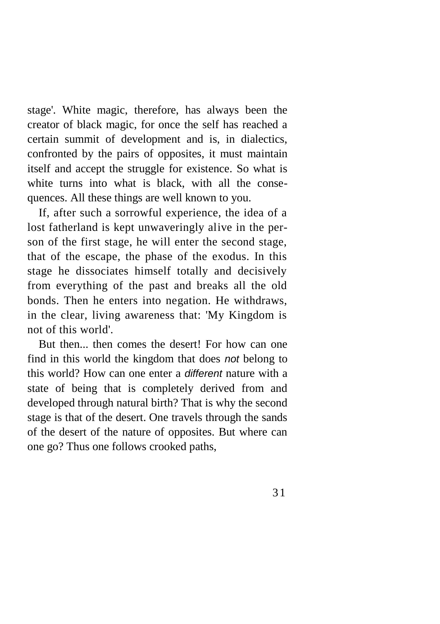stage'. White magic, therefore, has always been the creator of black magic, for once the self has reached a certain summit of development and is, in dialectics, confronted by the pairs of opposites, it must maintain itself and accept the struggle for existence. So what is white turns into what is black, with all the consequences. All these things are well known to you.

If, after such a sorrowful experience, the idea of a lost fatherland is kept unwaveringly alive in the person of the first stage, he will enter the second stage, that of the escape, the phase of the exodus. In this stage he dissociates himself totally and decisively from everything of the past and breaks all the old bonds. Then he enters into negation. He withdraws, in the clear, living awareness that: 'My Kingdom is not of this world'.

But then... then comes the desert! For how can one find in this world the kingdom that does *not* belong to this world? How can one enter a *different* nature with a state of being that is completely derived from and developed through natural birth? That is why the second stage is that of the desert. One travels through the sands of the desert of the nature of opposites. But where can one go? Thus one follows crooked paths,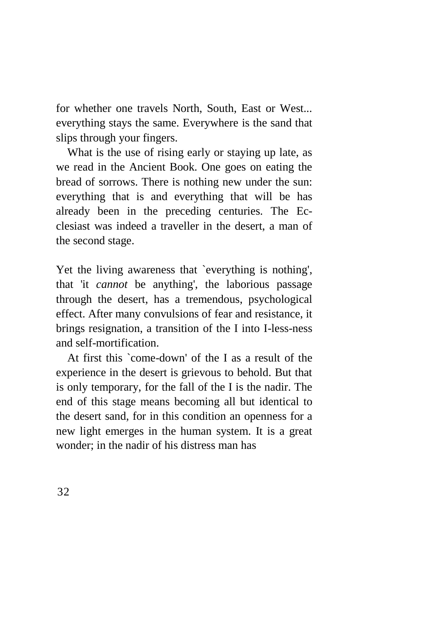for whether one travels North, South, East or West... everything stays the same. Everywhere is the sand that slips through your fingers.

What is the use of rising early or staying up late, as we read in the Ancient Book. One goes on eating the bread of sorrows. There is nothing new under the sun: everything that is and everything that will be has already been in the preceding centuries. The Ecclesiast was indeed a traveller in the desert, a man of the second stage.

Yet the living awareness that `everything is nothing', that 'it *cannot* be anything', the laborious passage through the desert, has a tremendous, psychological effect. After many convulsions of fear and resistance, it brings resignation, a transition of the I into I-less-ness and self-mortification.

At first this `come-down' of the I as a result of the experience in the desert is grievous to behold. But that is only temporary, for the fall of the I is the nadir. The end of this stage means becoming all but identical to the desert sand, for in this condition an openness for a new light emerges in the human system. It is a great wonder; in the nadir of his distress man has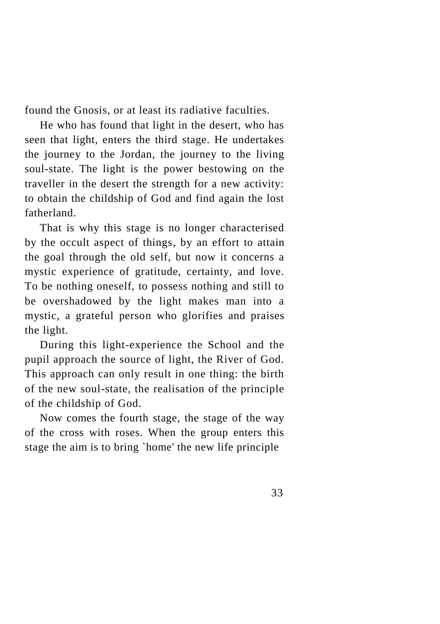found the Gnosis, or at least its radiative faculties.

He who has found that light in the desert, who has seen that light, enters the third stage. He undertakes the journey to the Jordan, the journey to the living soul-state. The light is the power bestowing on the traveller in the desert the strength for a new activity: to obtain the childship of God and find again the lost fatherland.

That is why this stage is no longer characterised by the occult aspect of things, by an effort to attain the goal through the old self, but now it concerns a mystic experience of gratitude, certainty, and love. To be nothing oneself, to possess nothing and still to be overshadowed by the light makes man into a mystic, a grateful person who glorifies and praises the light.

During this light-experience the School and the pupil approach the source of light, the River of God. This approach can only result in one thing: the birth of the new soul-state, the realisation of the principle of the childship of God.

Now comes the fourth stage, the stage of the way of the cross with roses. When the group enters this stage the aim is to bring `home' the new life principle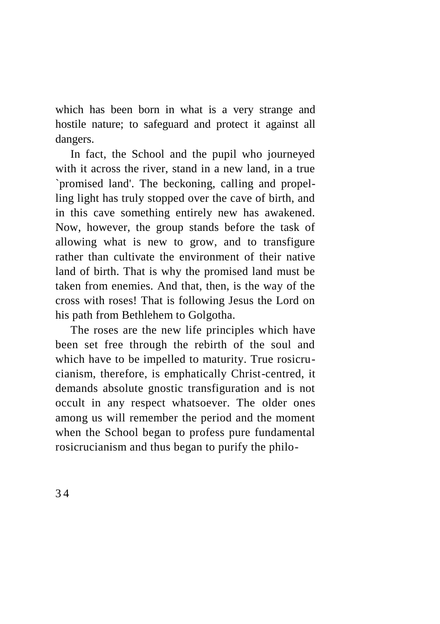which has been born in what is a very strange and hostile nature; to safeguard and protect it against all dangers.

In fact, the School and the pupil who journeyed with it across the river, stand in a new land, in a true `promised land'. The beckoning, calling and propelling light has truly stopped over the cave of birth, and in this cave something entirely new has awakened. Now, however, the group stands before the task of allowing what is new to grow, and to transfigure rather than cultivate the environment of their native land of birth. That is why the promised land must be taken from enemies. And that, then, is the way of the cross with roses! That is following Jesus the Lord on his path from Bethlehem to Golgotha.

The roses are the new life principles which have been set free through the rebirth of the soul and which have to be impelled to maturity. True rosicrucianism, therefore, is emphatically Christ-centred, it demands absolute gnostic transfiguration and is not occult in any respect whatsoever. The older ones among us will remember the period and the moment when the School began to profess pure fundamental rosicrucianism and thus began to purify the philo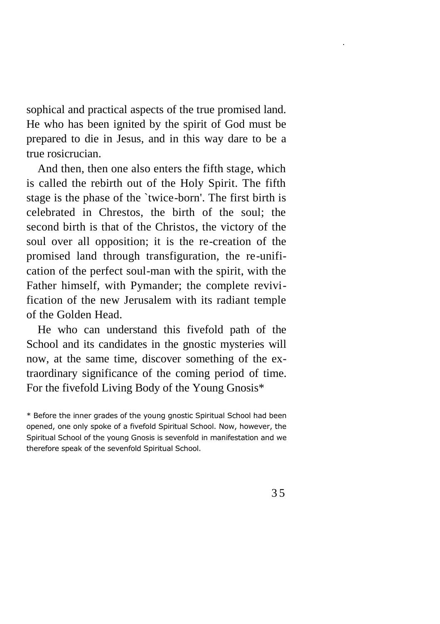sophical and practical aspects of the true promised land. He who has been ignited by the spirit of God must be prepared to die in Jesus, and in this way dare to be a true rosicrucian.

And then, then one also enters the fifth stage, which is called the rebirth out of the Holy Spirit. The fifth stage is the phase of the `twice-born'. The first birth is celebrated in Chrestos, the birth of the soul; the second birth is that of the Christos, the victory of the soul over all opposition; it is the re-creation of the promised land through transfiguration, the re-unification of the perfect soul-man with the spirit, with the Father himself, with Pymander; the complete revivification of the new Jerusalem with its radiant temple of the Golden Head.

He who can understand this fivefold path of the School and its candidates in the gnostic mysteries will now, at the same time, discover something of the extraordinary significance of the coming period of time. For the fivefold Living Body of the Young Gnosis\*

<sup>\*</sup> Before the inner grades of the young gnostic Spiritual School had been opened, one only spoke of a fivefold Spiritual School. Now, however, the Spiritual School of the young Gnosis is sevenfold in manifestation and we therefore speak of the sevenfold Spiritual School.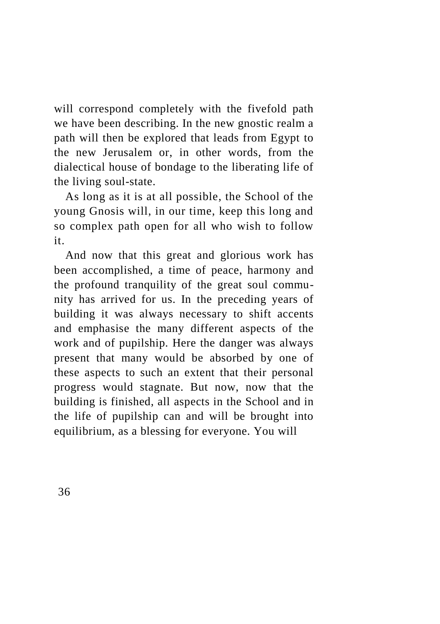will correspond completely with the fivefold path we have been describing. In the new gnostic realm a path will then be explored that leads from Egypt to the new Jerusalem or, in other words, from the dialectical house of bondage to the liberating life of the living soul-state.

As long as it is at all possible, the School of the young Gnosis will, in our time, keep this long and so complex path open for all who wish to follow it.

And now that this great and glorious work has been accomplished, a time of peace, harmony and the profound tranquility of the great soul community has arrived for us. In the preceding years of building it was always necessary to shift accents and emphasise the many different aspects of the work and of pupilship. Here the danger was always present that many would be absorbed by one of these aspects to such an extent that their personal progress would stagnate. But now, now that the building is finished, all aspects in the School and in the life of pupilship can and will be brought into equilibrium, as a blessing for everyone. You will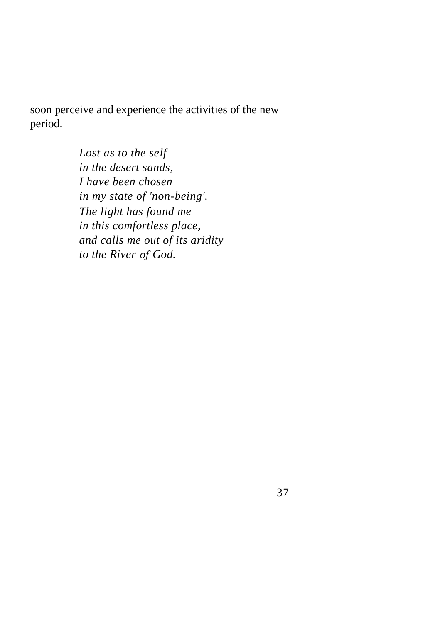soon perceive and experience the activities of the new period.

> *Lost as to the self in the desert sands, I have been chosen in my state of 'non-being'. The light has found me in this comfortless place, and calls me out of its aridity to the River of God.*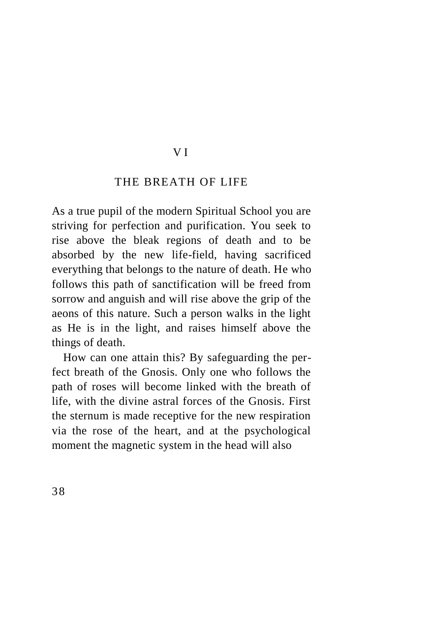### V I

### THE BREATH OF LIFE

As a true pupil of the modern Spiritual School you are striving for perfection and purification. You seek to rise above the bleak regions of death and to be absorbed by the new life-field, having sacrificed everything that belongs to the nature of death. He who follows this path of sanctification will be freed from sorrow and anguish and will rise above the grip of the aeons of this nature. Such a person walks in the light as He is in the light, and raises himself above the things of death.

How can one attain this? By safeguarding the perfect breath of the Gnosis. Only one who follows the path of roses will become linked with the breath of life, with the divine astral forces of the Gnosis. First the sternum is made receptive for the new respiration via the rose of the heart, and at the psychological moment the magnetic system in the head will also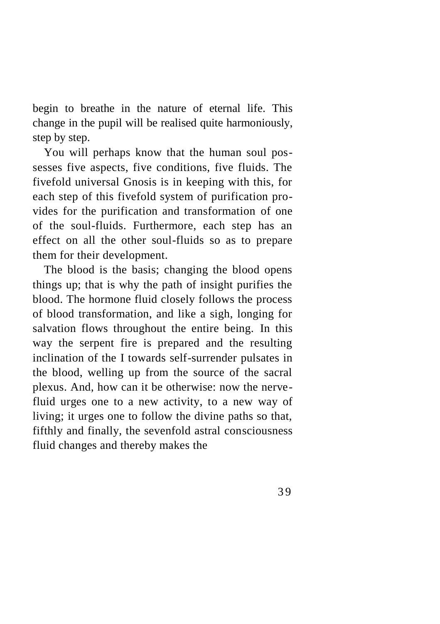begin to breathe in the nature of eternal life. This change in the pupil will be realised quite harmoniously, step by step.

You will perhaps know that the human soul possesses five aspects, five conditions, five fluids. The fivefold universal Gnosis is in keeping with this, for each step of this fivefold system of purification provides for the purification and transformation of one of the soul-fluids. Furthermore, each step has an effect on all the other soul-fluids so as to prepare them for their development.

The blood is the basis; changing the blood opens things up; that is why the path of insight purifies the blood. The hormone fluid closely follows the process of blood transformation, and like a sigh, longing for salvation flows throughout the entire being. In this way the serpent fire is prepared and the resulting inclination of the I towards self-surrender pulsates in the blood, welling up from the source of the sacral plexus. And, how can it be otherwise: now the nervefluid urges one to a new activity, to a new way of living; it urges one to follow the divine paths so that, fifthly and finally, the sevenfold astral consciousness fluid changes and thereby makes the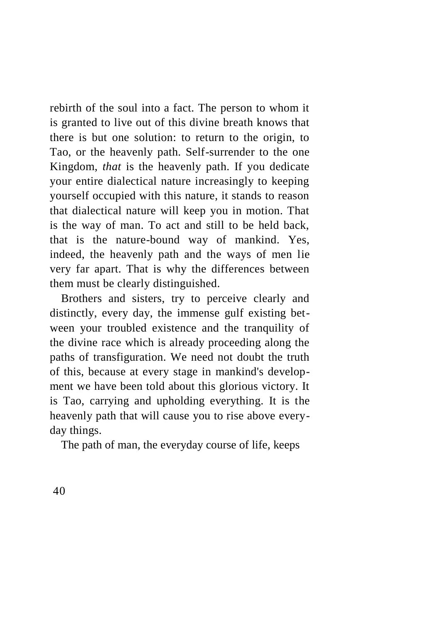rebirth of the soul into a fact. The person to whom it is granted to live out of this divine breath knows that there is but one solution: to return to the origin, to Tao, or the heavenly path. Self-surrender to the one Kingdom, *that* is the heavenly path. If you dedicate your entire dialectical nature increasingly to keeping yourself occupied with this nature, it stands to reason that dialectical nature will keep you in motion. That is the way of man. To act and still to be held back, that is the nature-bound way of mankind. Yes, indeed, the heavenly path and the ways of men lie very far apart. That is why the differences between them must be clearly distinguished.

Brothers and sisters, try to perceive clearly and distinctly, every day, the immense gulf existing between your troubled existence and the tranquility of the divine race which is already proceeding along the paths of transfiguration. We need not doubt the truth of this, because at every stage in mankind's development we have been told about this glorious victory. It is Tao, carrying and upholding everything. It is the heavenly path that will cause you to rise above everyday things.

The path of man, the everyday course of life, keeps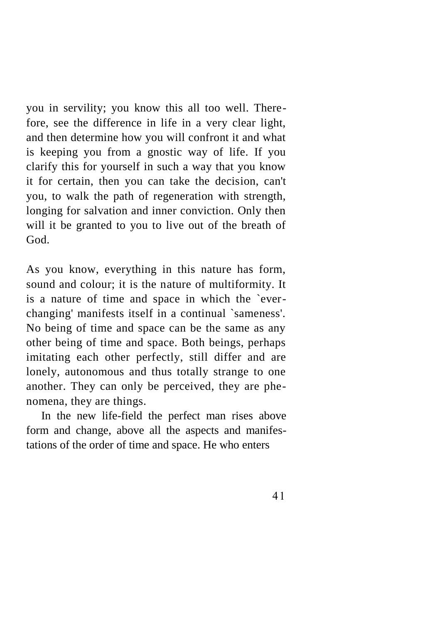you in servility; you know this all too well. Therefore, see the difference in life in a very clear light, and then determine how you will confront it and what is keeping you from a gnostic way of life. If you clarify this for yourself in such a way that you know it for certain, then you can take the decision, can't you, to walk the path of regeneration with strength, longing for salvation and inner conviction. Only then will it be granted to you to live out of the breath of God.

As you know, everything in this nature has form, sound and colour; it is the nature of multiformity. It is a nature of time and space in which the `everchanging' manifests itself in a continual `sameness'. No being of time and space can be the same as any other being of time and space. Both beings, perhaps imitating each other perfectly, still differ and are lonely, autonomous and thus totally strange to one another. They can only be perceived, they are phenomena, they are things.

In the new life-field the perfect man rises above form and change, above all the aspects and manifestations of the order of time and space. He who enters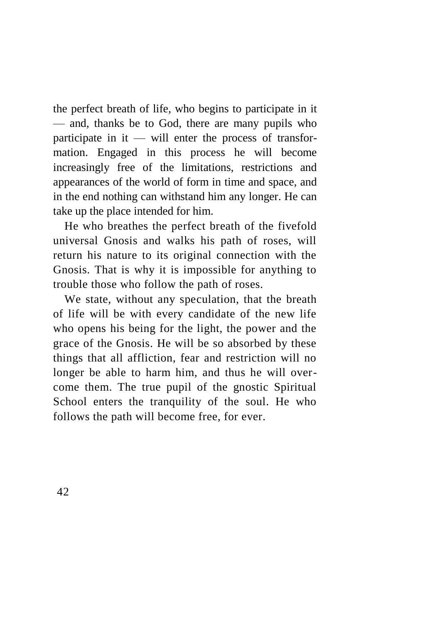the perfect breath of life, who begins to participate in it — and, thanks be to God, there are many pupils who participate in it — will enter the process of transformation. Engaged in this process he will become increasingly free of the limitations, restrictions and appearances of the world of form in time and space, and in the end nothing can withstand him any longer. He can take up the place intended for him.

He who breathes the perfect breath of the fivefold universal Gnosis and walks his path of roses, will return his nature to its original connection with the Gnosis. That is why it is impossible for anything to trouble those who follow the path of roses.

We state, without any speculation, that the breath of life will be with every candidate of the new life who opens his being for the light, the power and the grace of the Gnosis. He will be so absorbed by these things that all affliction, fear and restriction will no longer be able to harm him, and thus he will overcome them. The true pupil of the gnostic Spiritual School enters the tranquility of the soul. He who follows the path will become free, for ever.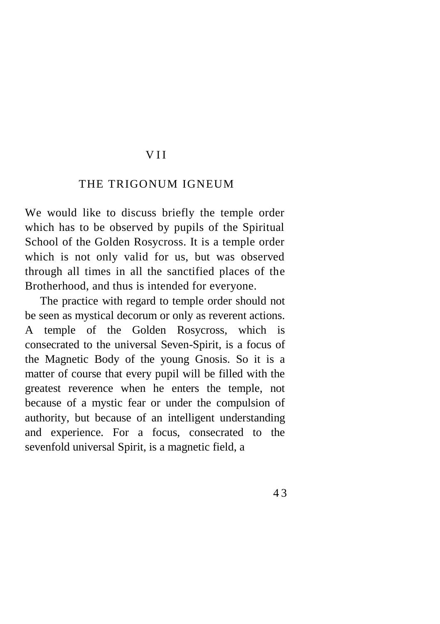#### V I I

### THE TRIGONUM IGNEUM

We would like to discuss briefly the temple order which has to be observed by pupils of the Spiritual School of the Golden Rosycross. It is a temple order which is not only valid for us, but was observed through all times in all the sanctified places of the Brotherhood, and thus is intended for everyone.

The practice with regard to temple order should not be seen as mystical decorum or only as reverent actions. A temple of the Golden Rosycross, which is consecrated to the universal Seven-Spirit, is a focus of the Magnetic Body of the young Gnosis. So it is a matter of course that every pupil will be filled with the greatest reverence when he enters the temple, not because of a mystic fear or under the compulsion of authority, but because of an intelligent understanding and experience. For a focus, consecrated to the sevenfold universal Spirit, is a magnetic field, a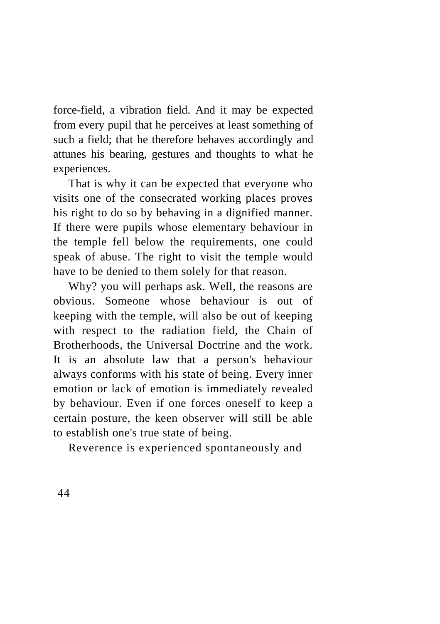force-field, a vibration field. And it may be expected from every pupil that he perceives at least something of such a field; that he therefore behaves accordingly and attunes his bearing, gestures and thoughts to what he experiences.

That is why it can be expected that everyone who visits one of the consecrated working places proves his right to do so by behaving in a dignified manner. If there were pupils whose elementary behaviour in the temple fell below the requirements, one could speak of abuse. The right to visit the temple would have to be denied to them solely for that reason.

Why? you will perhaps ask. Well, the reasons are obvious. Someone whose behaviour is out of keeping with the temple, will also be out of keeping with respect to the radiation field, the Chain of Brotherhoods, the Universal Doctrine and the work. It is an absolute law that a person's behaviour always conforms with his state of being. Every inner emotion or lack of emotion is immediately revealed by behaviour. Even if one forces oneself to keep a certain posture, the keen observer will still be able to establish one's true state of being.

Reverence is experienced spontaneously and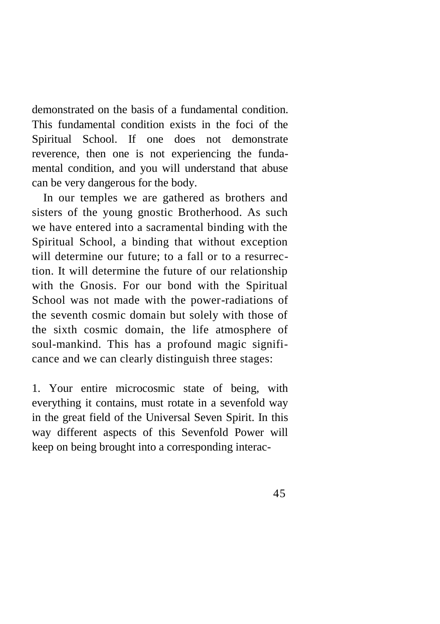demonstrated on the basis of a fundamental condition. This fundamental condition exists in the foci of the Spiritual School. If one does not demonstrate reverence, then one is not experiencing the fundamental condition, and you will understand that abuse can be very dangerous for the body.

In our temples we are gathered as brothers and sisters of the young gnostic Brotherhood. As such we have entered into a sacramental binding with the Spiritual School, a binding that without exception will determine our future; to a fall or to a resurrection. It will determine the future of our relationship with the Gnosis. For our bond with the Spiritual School was not made with the power-radiations of the seventh cosmic domain but solely with those of the sixth cosmic domain, the life atmosphere of soul-mankind. This has a profound magic significance and we can clearly distinguish three stages:

1. Your entire microcosmic state of being, with everything it contains, must rotate in a sevenfold way in the great field of the Universal Seven Spirit. In this way different aspects of this Sevenfold Power will keep on being brought into a corresponding interac-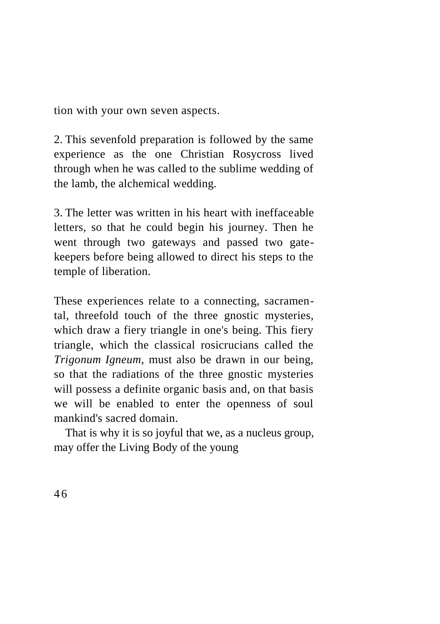tion with your own seven aspects.

2. This sevenfold preparation is followed by the same experience as the one Christian Rosycross lived through when he was called to the sublime wedding of the lamb, the alchemical wedding.

3. The letter was written in his heart with ineffaceable letters, so that he could begin his journey. Then he went through two gateways and passed two gatekeepers before being allowed to direct his steps to the temple of liberation.

These experiences relate to a connecting, sacramental, threefold touch of the three gnostic mysteries, which draw a fiery triangle in one's being. This fiery triangle, which the classical rosicrucians called the *Trigonum Igneum,* must also be drawn in our being, so that the radiations of the three gnostic mysteries will possess a definite organic basis and, on that basis we will be enabled to enter the openness of soul mankind's sacred domain.

That is why it is so joyful that we, as a nucleus group, may offer the Living Body of the young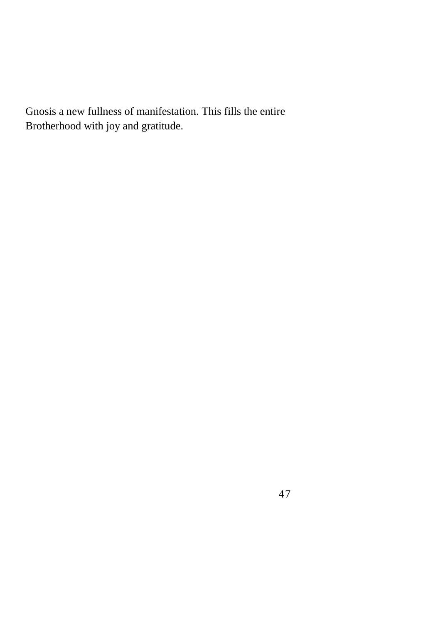Gnosis a new fullness of manifestation. This fills the entire Brotherhood with joy and gratitude.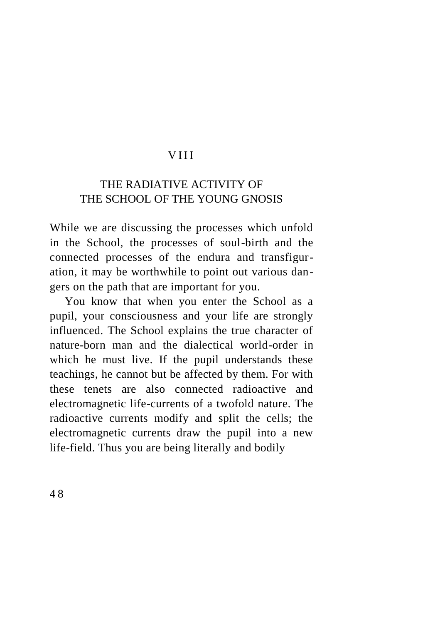### V I I I

# THE RADIATIVE ACTIVITY OF THE SCHOOL OF THE YOUNG GNOSIS

While we are discussing the processes which unfold in the School, the processes of soul-birth and the connected processes of the endura and transfiguration, it may be worthwhile to point out various dangers on the path that are important for you.

You know that when you enter the School as a pupil, your consciousness and your life are strongly influenced. The School explains the true character of nature-born man and the dialectical world-order in which he must live. If the pupil understands these teachings, he cannot but be affected by them. For with these tenets are also connected radioactive and electromagnetic life-currents of a twofold nature. The radioactive currents modify and split the cells; the electromagnetic currents draw the pupil into a new life-field. Thus you are being literally and bodily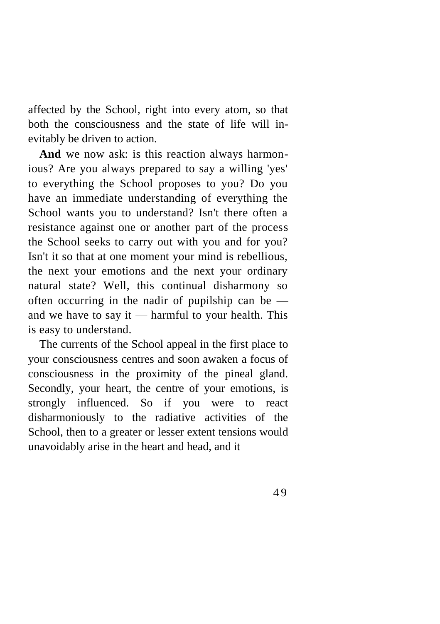affected by the School, right into every atom, so that both the consciousness and the state of life will inevitably be driven to action.

**And** we now ask: is this reaction always harmonious? Are you always prepared to say a willing 'yes' to everything the School proposes to you? Do you have an immediate understanding of everything the School wants you to understand? Isn't there often a resistance against one or another part of the process the School seeks to carry out with you and for you? Isn't it so that at one moment your mind is rebellious, the next your emotions and the next your ordinary natural state? Well, this continual disharmony so often occurring in the nadir of pupilship can be and we have to say it — harmful to your health. This is easy to understand.

The currents of the School appeal in the first place to your consciousness centres and soon awaken a focus of consciousness in the proximity of the pineal gland. Secondly, your heart, the centre of your emotions, is strongly influenced. So if you were to react disharmoniously to the radiative activities of the School, then to a greater or lesser extent tensions would unavoidably arise in the heart and head, and it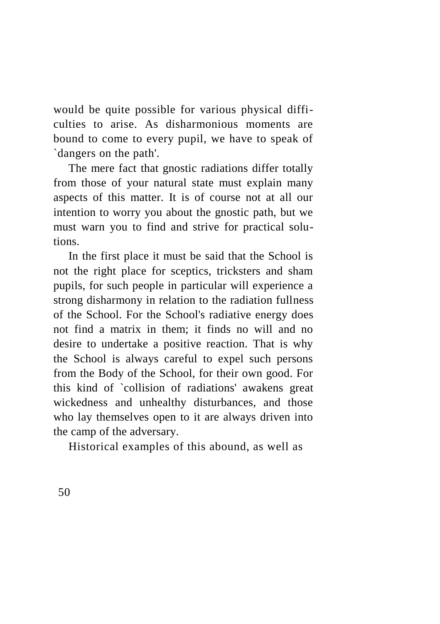would be quite possible for various physical difficulties to arise. As disharmonious moments are bound to come to every pupil, we have to speak of `dangers on the path'.

The mere fact that gnostic radiations differ totally from those of your natural state must explain many aspects of this matter. It is of course not at all our intention to worry you about the gnostic path, but we must warn you to find and strive for practical solutions.

In the first place it must be said that the School is not the right place for sceptics, tricksters and sham pupils, for such people in particular will experience a strong disharmony in relation to the radiation fullness of the School. For the School's radiative energy does not find a matrix in them; it finds no will and no desire to undertake a positive reaction. That is why the School is always careful to expel such persons from the Body of the School, for their own good. For this kind of `collision of radiations' awakens great wickedness and unhealthy disturbances, and those who lay themselves open to it are always driven into the camp of the adversary.

Historical examples of this abound, as well as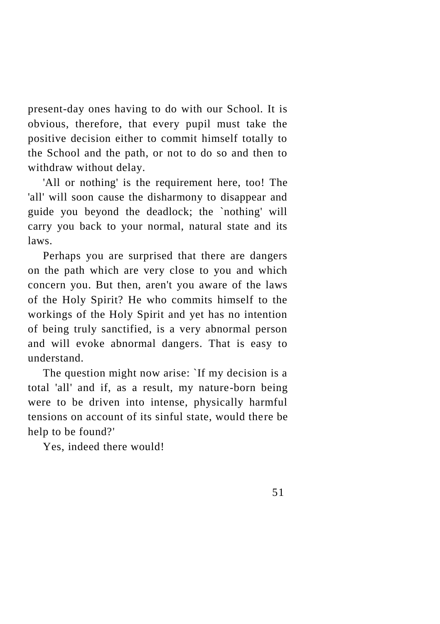present-day ones having to do with our School. It is obvious, therefore, that every pupil must take the positive decision either to commit himself totally to the School and the path, or not to do so and then to withdraw without delay.

'All or nothing' is the requirement here, too! The 'all' will soon cause the disharmony to disappear and guide you beyond the deadlock; the `nothing' will carry you back to your normal, natural state and its laws.

Perhaps you are surprised that there are dangers on the path which are very close to you and which concern you. But then, aren't you aware of the laws of the Holy Spirit? He who commits himself to the workings of the Holy Spirit and yet has no intention of being truly sanctified, is a very abnormal person and will evoke abnormal dangers. That is easy to understand.

The question might now arise: `If my decision is a total 'all' and if, as a result, my nature-born being were to be driven into intense, physically harmful tensions on account of its sinful state, would there be help to be found?'

Yes, indeed there would!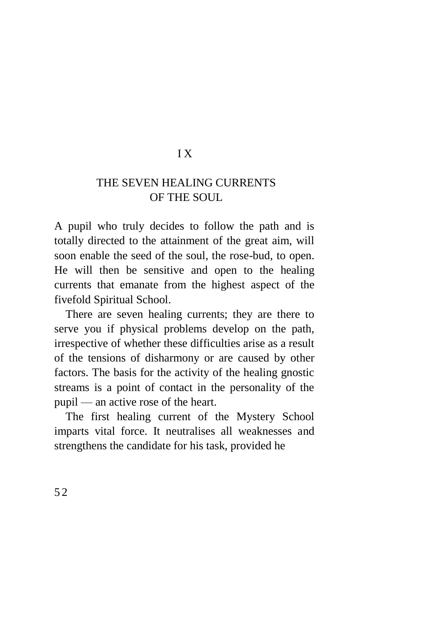## I X

# THE SEVEN HEALING CURRENTS OF THE SOUL.

A pupil who truly decides to follow the path and is totally directed to the attainment of the great aim, will soon enable the seed of the soul, the rose-bud, to open. He will then be sensitive and open to the healing currents that emanate from the highest aspect of the fivefold Spiritual School.

There are seven healing currents; they are there to serve you if physical problems develop on the path, irrespective of whether these difficulties arise as a result of the tensions of disharmony or are caused by other factors. The basis for the activity of the healing gnostic streams is a point of contact in the personality of the pupil — an active rose of the heart.

The first healing current of the Mystery School imparts vital force. It neutralises all weaknesses and strengthens the candidate for his task, provided he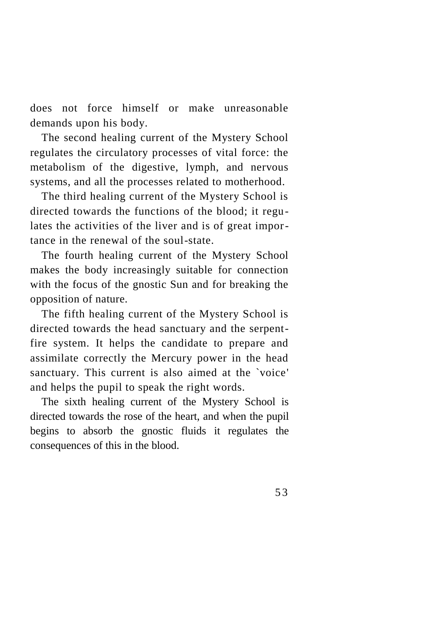does not force himself or make unreasonable demands upon his body.

The second healing current of the Mystery School regulates the circulatory processes of vital force: the metabolism of the digestive, lymph, and nervous systems, and all the processes related to motherhood.

The third healing current of the Mystery School is directed towards the functions of the blood; it regulates the activities of the liver and is of great importance in the renewal of the soul-state.

The fourth healing current of the Mystery School makes the body increasingly suitable for connection with the focus of the gnostic Sun and for breaking the opposition of nature.

The fifth healing current of the Mystery School is directed towards the head sanctuary and the serpentfire system. It helps the candidate to prepare and assimilate correctly the Mercury power in the head sanctuary. This current is also aimed at the `voice' and helps the pupil to speak the right words.

The sixth healing current of the Mystery School is directed towards the rose of the heart, and when the pupil begins to absorb the gnostic fluids it regulates the consequences of this in the blood.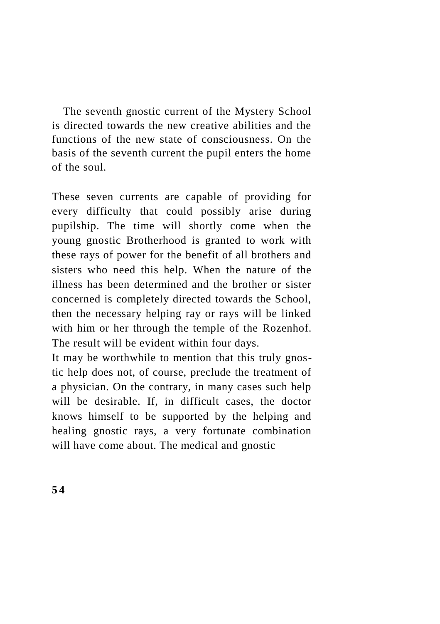The seventh gnostic current of the Mystery School is directed towards the new creative abilities and the functions of the new state of consciousness. On the basis of the seventh current the pupil enters the home of the soul.

These seven currents are capable of providing for every difficulty that could possibly arise during pupilship. The time will shortly come when the young gnostic Brotherhood is granted to work with these rays of power for the benefit of all brothers and sisters who need this help. When the nature of the illness has been determined and the brother or sister concerned is completely directed towards the School, then the necessary helping ray or rays will be linked with him or her through the temple of the Rozenhof. The result will be evident within four days.

It may be worthwhile to mention that this truly gnostic help does not, of course, preclude the treatment of a physician. On the contrary, in many cases such help will be desirable. If, in difficult cases, the doctor knows himself to be supported by the helping and healing gnostic rays, a very fortunate combination will have come about. The medical and gnostic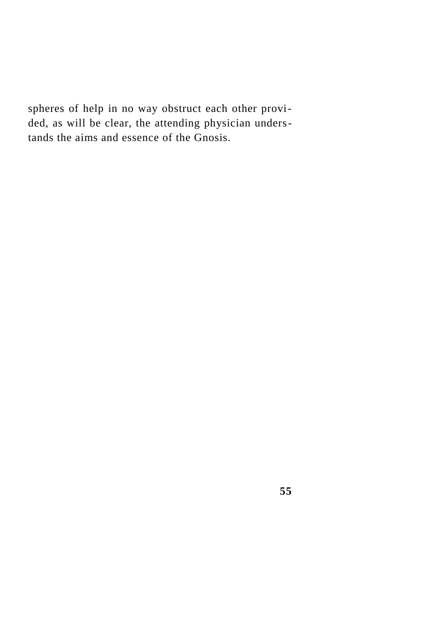spheres of help in no way obstruct each other provided, as will be clear, the attending physician understands the aims and essence of the Gnosis.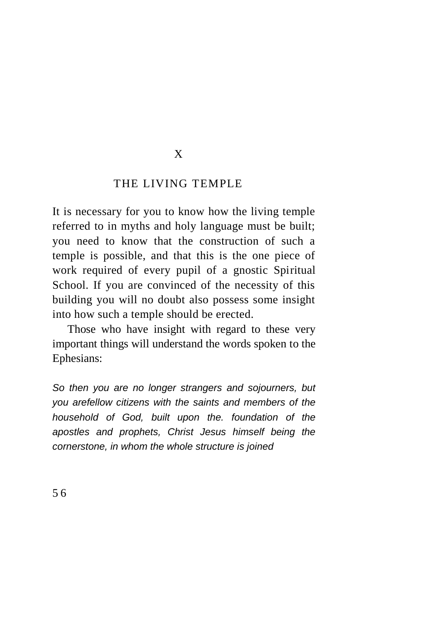# X

### THE LIVING TEMPLE

It is necessary for you to know how the living temple referred to in myths and holy language must be built; you need to know that the construction of such a temple is possible, and that this is the one piece of work required of every pupil of a gnostic Spiritual School. If you are convinced of the necessity of this building you will no doubt also possess some insight into how such a temple should be erected.

Those who have insight with regard to these very important things will understand the words spoken to the Ephesians:

*So then you are no longer strangers and sojourners, but you arefellow citizens with the saints and members of the household of God, built upon the. foundation of the apostles and prophets, Christ Jesus himself being the cornerstone, in whom the whole structure is joined*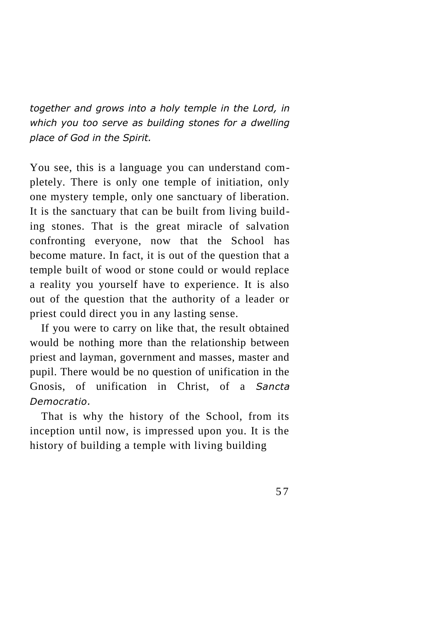*together and grows into a holy temple in the Lord, in which you too serve as building stones for a dwelling place of God in the Spirit.*

You see, this is a language you can understand completely. There is only one temple of initiation, only one mystery temple, only one sanctuary of liberation. It is the sanctuary that can be built from living building stones. That is the great miracle of salvation confronting everyone, now that the School has become mature. In fact, it is out of the question that a temple built of wood or stone could or would replace a reality you yourself have to experience. It is also out of the question that the authority of a leader or priest could direct you in any lasting sense.

If you were to carry on like that, the result obtained would be nothing more than the relationship between priest and layman, government and masses, master and pupil. There would be no question of unification in the Gnosis, of unification in Christ, of a *Sancta Democratio.*

That is why the history of the School, from its inception until now, is impressed upon you. It is the history of building a temple with living building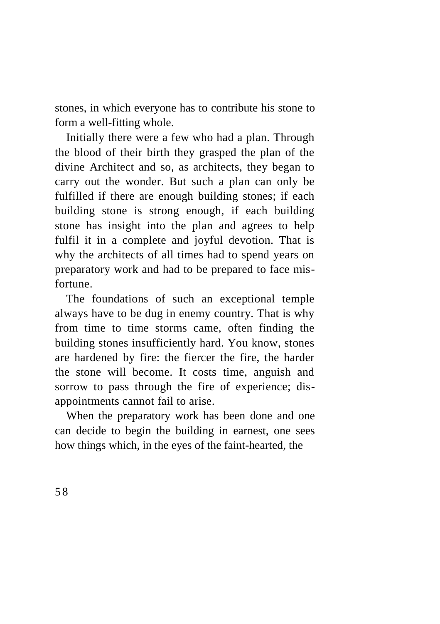stones, in which everyone has to contribute his stone to form a well-fitting whole.

Initially there were a few who had a plan. Through the blood of their birth they grasped the plan of the divine Architect and so, as architects, they began to carry out the wonder. But such a plan can only be fulfilled if there are enough building stones; if each building stone is strong enough, if each building stone has insight into the plan and agrees to help fulfil it in a complete and joyful devotion. That is why the architects of all times had to spend years on preparatory work and had to be prepared to face misfortune.

The foundations of such an exceptional temple always have to be dug in enemy country. That is why from time to time storms came, often finding the building stones insufficiently hard. You know, stones are hardened by fire: the fiercer the fire, the harder the stone will become. It costs time, anguish and sorrow to pass through the fire of experience; disappointments cannot fail to arise.

When the preparatory work has been done and one can decide to begin the building in earnest, one sees how things which, in the eyes of the faint-hearted, the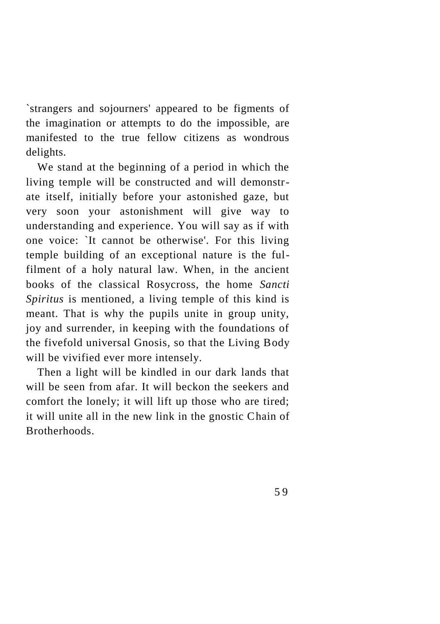`strangers and sojourners' appeared to be figments of the imagination or attempts to do the impossible, are manifested to the true fellow citizens as wondrous delights.

We stand at the beginning of a period in which the living temple will be constructed and will demonstrate itself, initially before your astonished gaze, but very soon your astonishment will give way to understanding and experience. You will say as if with one voice: `It cannot be otherwise'. For this living temple building of an exceptional nature is the fulfilment of a holy natural law. When, in the ancient books of the classical Rosycross, the home *Sancti Spiritus* is mentioned, a living temple of this kind is meant. That is why the pupils unite in group unity, joy and surrender, in keeping with the foundations of the fivefold universal Gnosis, so that the Living Body will be vivified ever more intensely.

Then a light will be kindled in our dark lands that will be seen from afar. It will beckon the seekers and comfort the lonely; it will lift up those who are tired; it will unite all in the new link in the gnostic Chain of Brotherhoods.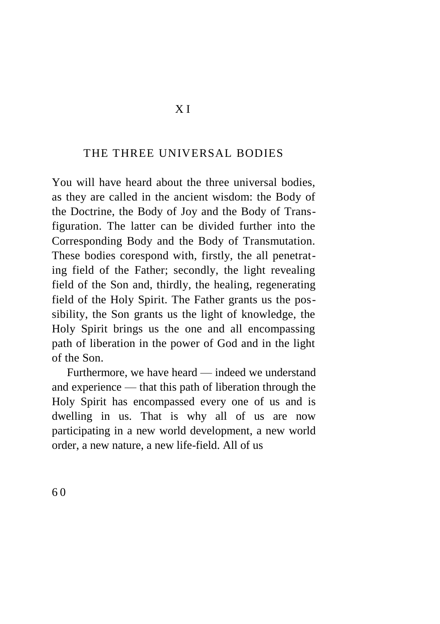### THE THREE UNIVERSAL BODIES

You will have heard about the three universal bodies, as they are called in the ancient wisdom: the Body of the Doctrine, the Body of Joy and the Body of Transfiguration. The latter can be divided further into the Corresponding Body and the Body of Transmutation. These bodies corespond with, firstly, the all penetrating field of the Father; secondly, the light revealing field of the Son and, thirdly, the healing, regenerating field of the Holy Spirit. The Father grants us the possibility, the Son grants us the light of knowledge, the Holy Spirit brings us the one and all encompassing path of liberation in the power of God and in the light of the Son.

Furthermore, we have heard — indeed we understand and experience — that this path of liberation through the Holy Spirit has encompassed every one of us and is dwelling in us. That is why all of us are now participating in a new world development, a new world order, a new nature, a new life-field. All of us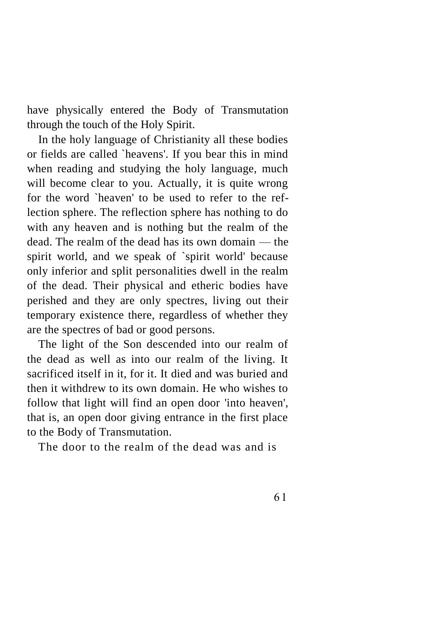have physically entered the Body of Transmutation through the touch of the Holy Spirit.

In the holy language of Christianity all these bodies or fields are called `heavens'. If you bear this in mind when reading and studying the holy language, much will become clear to you. Actually, it is quite wrong for the word `heaven' to be used to refer to the reflection sphere. The reflection sphere has nothing to do with any heaven and is nothing but the realm of the dead. The realm of the dead has its own domain — the spirit world, and we speak of `spirit world' because only inferior and split personalities dwell in the realm of the dead. Their physical and etheric bodies have perished and they are only spectres, living out their temporary existence there, regardless of whether they are the spectres of bad or good persons.

The light of the Son descended into our realm of the dead as well as into our realm of the living. It sacrificed itself in it, for it. It died and was buried and then it withdrew to its own domain. He who wishes to follow that light will find an open door 'into heaven', that is, an open door giving entrance in the first place to the Body of Transmutation.

The door to the realm of the dead was and is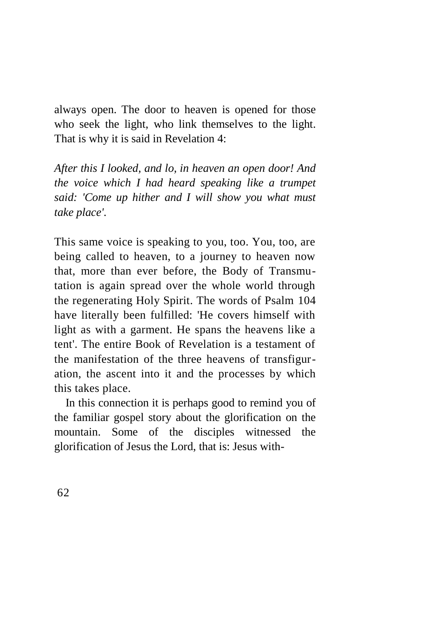always open. The door to heaven is opened for those who seek the light, who link themselves to the light. That is why it is said in Revelation 4:

*After this I looked, and lo, in heaven an open door! And the voice which I had heard speaking like a trumpet said: 'Come up hither and I will show you what must take place'.*

This same voice is speaking to you, too. You, too, are being called to heaven, to a journey to heaven now that, more than ever before, the Body of Transmutation is again spread over the whole world through the regenerating Holy Spirit. The words of Psalm 104 have literally been fulfilled: 'He covers himself with light as with a garment. He spans the heavens like a tent'. The entire Book of Revelation is a testament of the manifestation of the three heavens of transfiguration, the ascent into it and the processes by which this takes place.

In this connection it is perhaps good to remind you of the familiar gospel story about the glorification on the mountain. Some of the disciples witnessed the glorification of Jesus the Lord, that is: Jesus with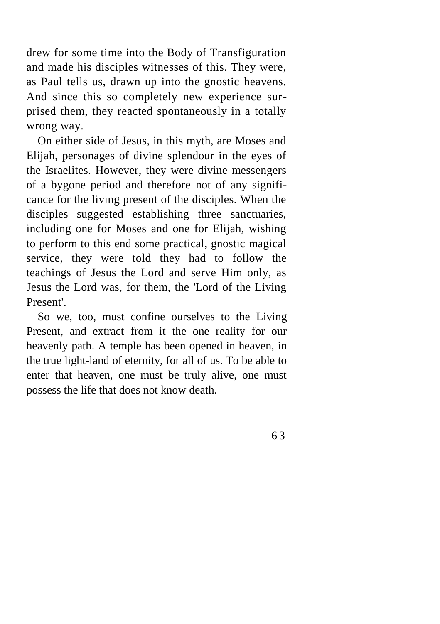drew for some time into the Body of Transfiguration and made his disciples witnesses of this. They were, as Paul tells us, drawn up into the gnostic heavens. And since this so completely new experience surprised them, they reacted spontaneously in a totally wrong way.

On either side of Jesus, in this myth, are Moses and Elijah, personages of divine splendour in the eyes of the Israelites. However, they were divine messengers of a bygone period and therefore not of any significance for the living present of the disciples. When the disciples suggested establishing three sanctuaries, including one for Moses and one for Elijah, wishing to perform to this end some practical, gnostic magical service, they were told they had to follow the teachings of Jesus the Lord and serve Him only, as Jesus the Lord was, for them, the 'Lord of the Living Present'.

So we, too, must confine ourselves to the Living Present, and extract from it the one reality for our heavenly path. A temple has been opened in heaven, in the true light-land of eternity, for all of us. To be able to enter that heaven, one must be truly alive, one must possess the life that does not know death.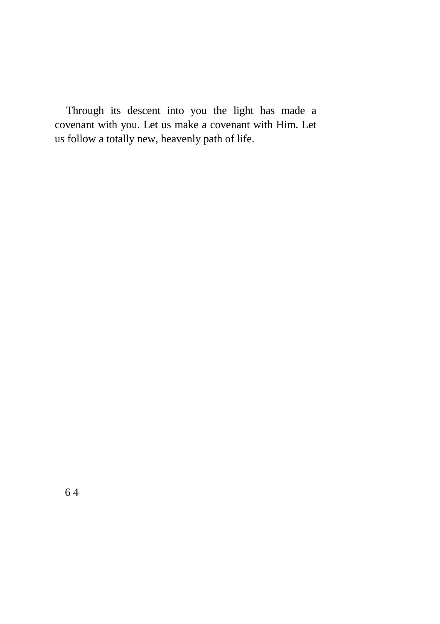Through its descent into you the light has made a covenant with you. Let us make a covenant with Him. Let us follow a totally new, heavenly path of life.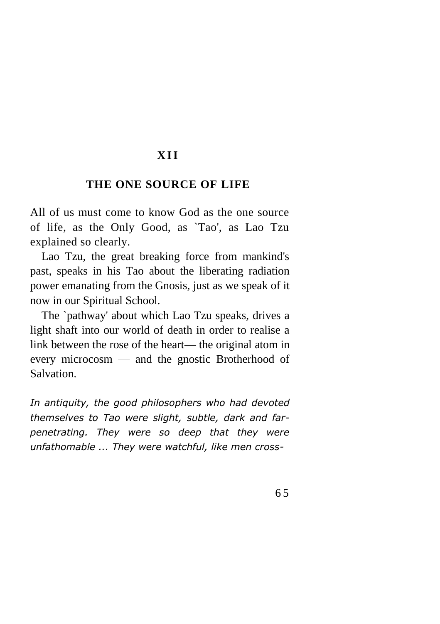### **X I I**

### **THE ONE SOURCE OF LIFE**

All of us must come to know God as the one source of life, as the Only Good, as `Tao', as Lao Tzu explained so clearly.

Lao Tzu, the great breaking force from mankind's past, speaks in his Tao about the liberating radiation power emanating from the Gnosis, just as we speak of it now in our Spiritual School.

The `pathway' about which Lao Tzu speaks, drives a light shaft into our world of death in order to realise a link between the rose of the heart— the original atom in every microcosm — and the gnostic Brotherhood of Salvation.

*In antiquity, the good philosophers who had devoted themselves to Tao were slight, subtle, dark and farpenetrating. They were so deep that they were unfathomable ... They were watchful, like men cross-*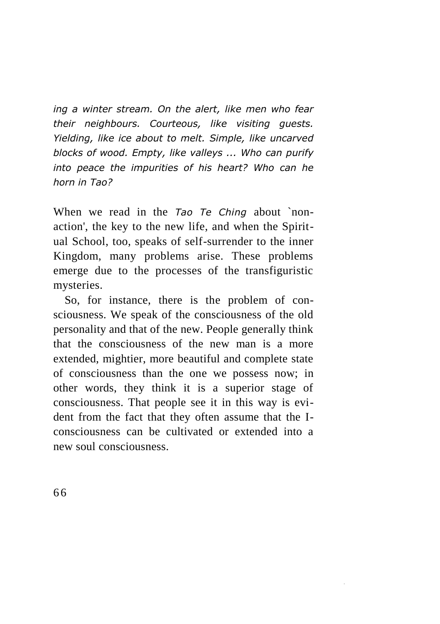*ing a winter stream. On the alert, like men who fear their neighbours. Courteous, like visiting guests. Yielding, like ice about to melt. Simple, like uncarved blocks of wood. Empty, like valleys ... Who can purify into peace the impurities of his heart? Who can he horn in Tao?*

When we read in the *Tao Te Ching* about `nonaction', the key to the new life, and when the Spiritual School, too, speaks of self-surrender to the inner Kingdom, many problems arise. These problems emerge due to the processes of the transfiguristic mysteries.

So, for instance, there is the problem of consciousness. We speak of the consciousness of the old personality and that of the new. People generally think that the consciousness of the new man is a more extended, mightier, more beautiful and complete state of consciousness than the one we possess now; in other words, they think it is a superior stage of consciousness. That people see it in this way is evident from the fact that they often assume that the Iconsciousness can be cultivated or extended into a new soul consciousness.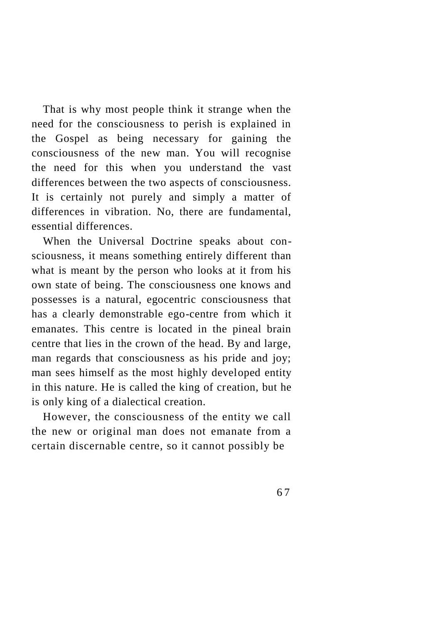That is why most people think it strange when the need for the consciousness to perish is explained in the Gospel as being necessary for gaining the consciousness of the new man. You will recognise the need for this when you understand the vast differences between the two aspects of consciousness. It is certainly not purely and simply a matter of differences in vibration. No, there are fundamental, essential differences.

When the Universal Doctrine speaks about consciousness, it means something entirely different than what is meant by the person who looks at it from his own state of being. The consciousness one knows and possesses is a natural, egocentric consciousness that has a clearly demonstrable ego-centre from which it emanates. This centre is located in the pineal brain centre that lies in the crown of the head. By and large, man regards that consciousness as his pride and joy; man sees himself as the most highly developed entity in this nature. He is called the king of creation, but he is only king of a dialectical creation.

However, the consciousness of the entity we call the new or original man does not emanate from a certain discernable centre, so it cannot possibly be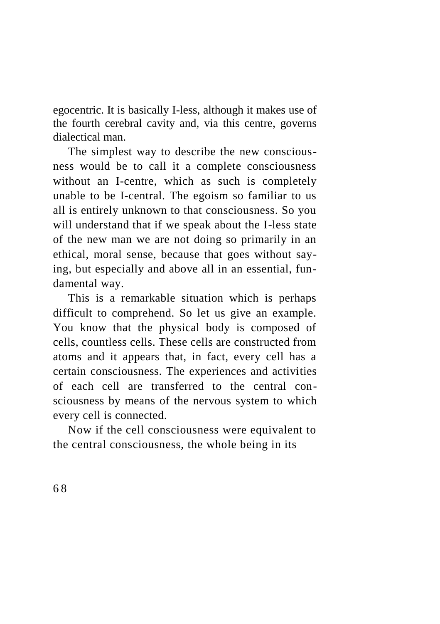egocentric. It is basically I-less, although it makes use of the fourth cerebral cavity and, via this centre, governs dialectical man.

The simplest way to describe the new consciousness would be to call it a complete consciousness without an I-centre, which as such is completely unable to be I-central. The egoism so familiar to us all is entirely unknown to that consciousness. So you will understand that if we speak about the I-less state of the new man we are not doing so primarily in an ethical, moral sense, because that goes without saying, but especially and above all in an essential, fundamental way.

This is a remarkable situation which is perhaps difficult to comprehend. So let us give an example. You know that the physical body is composed of cells, countless cells. These cells are constructed from atoms and it appears that, in fact, every cell has a certain consciousness. The experiences and activities of each cell are transferred to the central consciousness by means of the nervous system to which every cell is connected.

Now if the cell consciousness were equivalent to the central consciousness, the whole being in its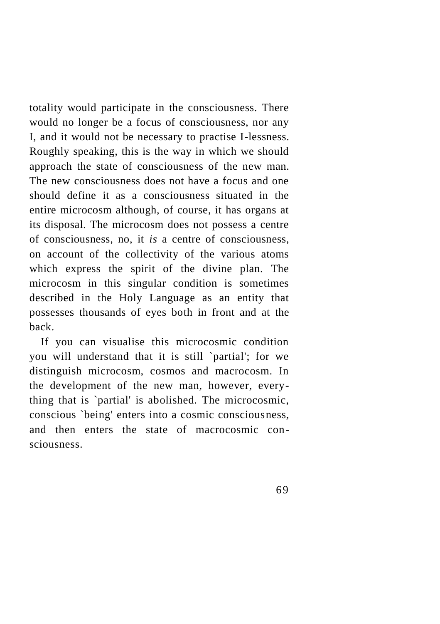totality would participate in the consciousness. There would no longer be a focus of consciousness, nor any I, and it would not be necessary to practise I-lessness. Roughly speaking, this is the way in which we should approach the state of consciousness of the new man. The new consciousness does not have a focus and one should define it as a consciousness situated in the entire microcosm although, of course, it has organs at its disposal. The microcosm does not possess a centre of consciousness, no, it *is* a centre of consciousness, on account of the collectivity of the various atoms which express the spirit of the divine plan. The microcosm in this singular condition is sometimes described in the Holy Language as an entity that possesses thousands of eyes both in front and at the back.

If you can visualise this microcosmic condition you will understand that it is still `partial'; for we distinguish microcosm, cosmos and macrocosm. In the development of the new man, however, everything that is `partial' is abolished. The microcosmic, conscious `being' enters into a cosmic consciousness, and then enters the state of macrocosmic consciousness.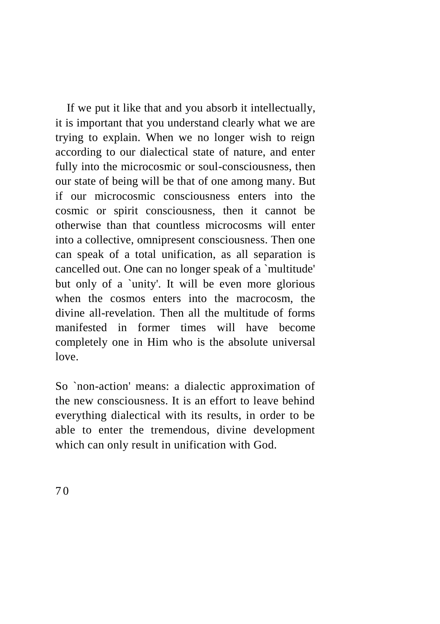If we put it like that and you absorb it intellectually, it is important that you understand clearly what we are trying to explain. When we no longer wish to reign according to our dialectical state of nature, and enter fully into the microcosmic or soul-consciousness, then our state of being will be that of one among many. But if our microcosmic consciousness enters into the cosmic or spirit consciousness, then it cannot be otherwise than that countless microcosms will enter into a collective, omnipresent consciousness. Then one can speak of a total unification, as all separation is cancelled out. One can no longer speak of a `multitude' but only of a `unity'. It will be even more glorious when the cosmos enters into the macrocosm, the divine all-revelation. Then all the multitude of forms manifested in former times will have become completely one in Him who is the absolute universal love.

So `non-action' means: a dialectic approximation of the new consciousness. It is an effort to leave behind everything dialectical with its results, in order to be able to enter the tremendous, divine development which can only result in unification with God.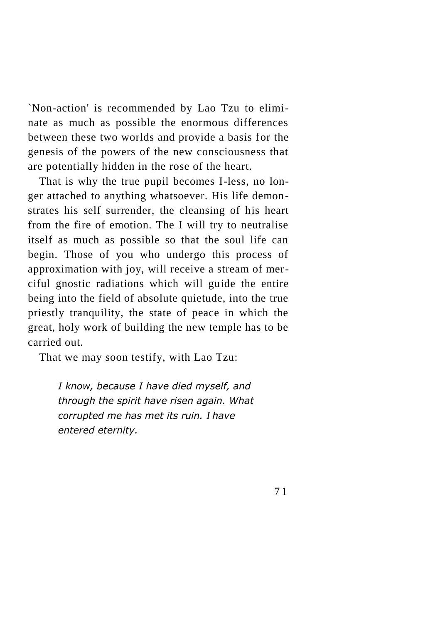`Non-action' is recommended by Lao Tzu to eliminate as much as possible the enormous differences between these two worlds and provide a basis for the genesis of the powers of the new consciousness that are potentially hidden in the rose of the heart.

That is why the true pupil becomes I-less, no longer attached to anything whatsoever. His life demonstrates his self surrender, the cleansing of his heart from the fire of emotion. The I will try to neutralise itself as much as possible so that the soul life can begin. Those of you who undergo this process of approximation with joy, will receive a stream of merciful gnostic radiations which will guide the entire being into the field of absolute quietude, into the true priestly tranquility, the state of peace in which the great, holy work of building the new temple has to be carried out.

That we may soon testify, with Lao Tzu:

*I know, because I have died myself, and through the spirit have risen again. What corrupted me has met its ruin. I have entered eternity.*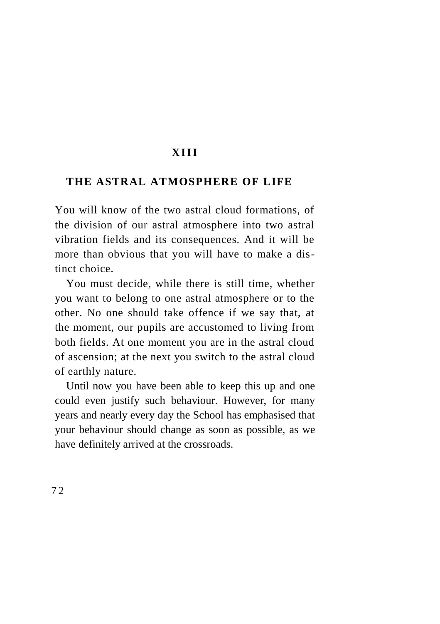## **X I I I**

### **THE ASTRAL ATMOSPHERE OF LIFE**

You will know of the two astral cloud formations, of the division of our astral atmosphere into two astral vibration fields and its consequences. And it will be more than obvious that you will have to make a distinct choice.

You must decide, while there is still time, whether you want to belong to one astral atmosphere or to the other. No one should take offence if we say that, at the moment, our pupils are accustomed to living from both fields. At one moment you are in the astral cloud of ascension; at the next you switch to the astral cloud of earthly nature.

Until now you have been able to keep this up and one could even justify such behaviour. However, for many years and nearly every day the School has emphasised that your behaviour should change as soon as possible, as we have definitely arrived at the crossroads.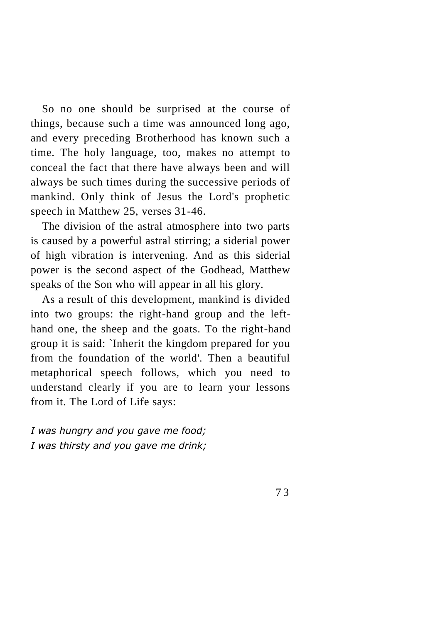So no one should be surprised at the course of things, because such a time was announced long ago, and every preceding Brotherhood has known such a time. The holy language, too, makes no attempt to conceal the fact that there have always been and will always be such times during the successive periods of mankind. Only think of Jesus the Lord's prophetic speech in Matthew 25, verses 31-46.

The division of the astral atmosphere into two parts is caused by a powerful astral stirring; a siderial power of high vibration is intervening. And as this siderial power is the second aspect of the Godhead, Matthew speaks of the Son who will appear in all his glory.

As a result of this development, mankind is divided into two groups: the right-hand group and the lefthand one, the sheep and the goats. To the right-hand group it is said: `Inherit the kingdom prepared for you from the foundation of the world'. Then a beautiful metaphorical speech follows, which you need to understand clearly if you are to learn your lessons from it. The Lord of Life says:

*I was hungry and you gave me food; I was thirsty and you gave me drink;*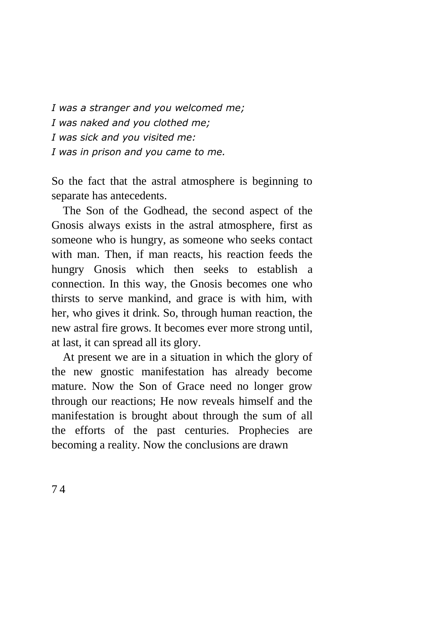*I was a stranger and you welcomed me; I was naked and you clothed me; I was sick and you visited me: I was in prison and you came to me.*

So the fact that the astral atmosphere is beginning to separate has antecedents.

The Son of the Godhead, the second aspect of the Gnosis always exists in the astral atmosphere, first as someone who is hungry, as someone who seeks contact with man. Then, if man reacts, his reaction feeds the hungry Gnosis which then seeks to establish a connection. In this way, the Gnosis becomes one who thirsts to serve mankind, and grace is with him, with her, who gives it drink. So, through human reaction, the new astral fire grows. It becomes ever more strong until, at last, it can spread all its glory.

At present we are in a situation in which the glory of the new gnostic manifestation has already become mature. Now the Son of Grace need no longer grow through our reactions; He now reveals himself and the manifestation is brought about through the sum of all the efforts of the past centuries. Prophecies are becoming a reality. Now the conclusions are drawn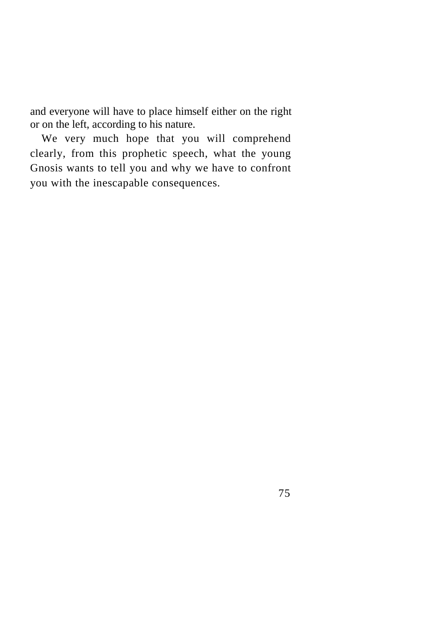and everyone will have to place himself either on the right or on the left, according to his nature.

We very much hope that you will comprehend clearly, from this prophetic speech, what the young Gnosis wants to tell you and why we have to confront you with the inescapable consequences.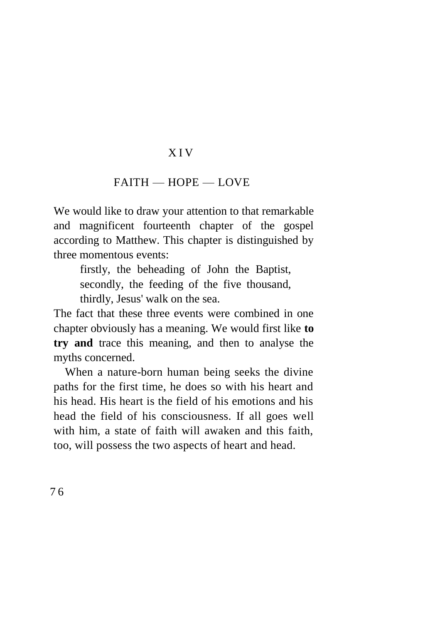#### X I V

#### FAITH — HOPE — LOVE

We would like to draw your attention to that remarkable and magnificent fourteenth chapter of the gospel according to Matthew. This chapter is distinguished by three momentous events:

firstly, the beheading of John the Baptist, secondly, the feeding of the five thousand, thirdly, Jesus' walk on the sea.

The fact that these three events were combined in one chapter obviously has a meaning. We would first like **to try and** trace this meaning, and then to analyse the myths concerned.

When a nature-born human being seeks the divine paths for the first time, he does so with his heart and his head. His heart is the field of his emotions and his head the field of his consciousness. If all goes well with him, a state of faith will awaken and this faith. too, will possess the two aspects of heart and head.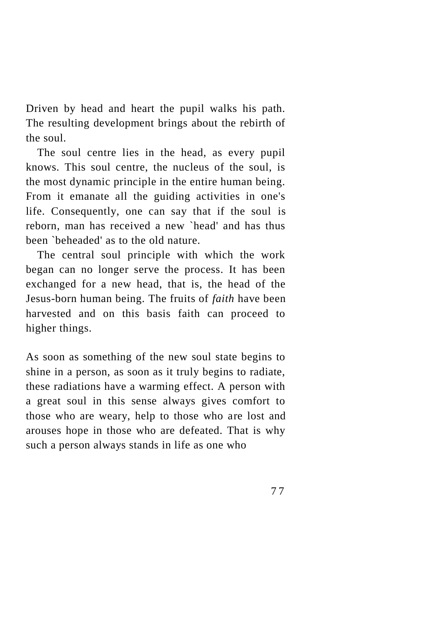Driven by head and heart the pupil walks his path. The resulting development brings about the rebirth of the soul.

The soul centre lies in the head, as every pupil knows. This soul centre, the nucleus of the soul, is the most dynamic principle in the entire human being. From it emanate all the guiding activities in one's life. Consequently, one can say that if the soul is reborn, man has received a new `head' and has thus been `beheaded' as to the old nature.

The central soul principle with which the work began can no longer serve the process. It has been exchanged for a new head, that is, the head of the Jesus-born human being. The fruits of *faith* have been harvested and on this basis faith can proceed to higher things.

As soon as something of the new soul state begins to shine in a person, as soon as it truly begins to radiate, these radiations have a warming effect. A person with a great soul in this sense always gives comfort to those who are weary, help to those who are lost and arouses hope in those who are defeated. That is why such a person always stands in life as one who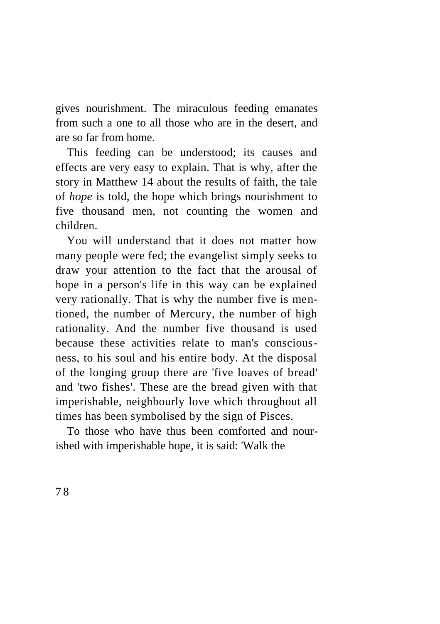gives nourishment. The miraculous feeding emanates from such a one to all those who are in the desert, and are so far from home.

This feeding can be understood; its causes and effects are very easy to explain. That is why, after the story in Matthew 14 about the results of faith, the tale of *hope* is told, the hope which brings nourishment to five thousand men, not counting the women and children.

You will understand that it does not matter how many people were fed; the evangelist simply seeks to draw your attention to the fact that the arousal of hope in a person's life in this way can be explained very rationally. That is why the number five is mentioned, the number of Mercury, the number of high rationality. And the number five thousand is used because these activities relate to man's consciousness, to his soul and his entire body. At the disposal of the longing group there are 'five loaves of bread' and 'two fishes'. These are the bread given with that imperishable, neighbourly love which throughout all times has been symbolised by the sign of Pisces.

To those who have thus been comforted and nourished with imperishable hope, it is said: 'Walk the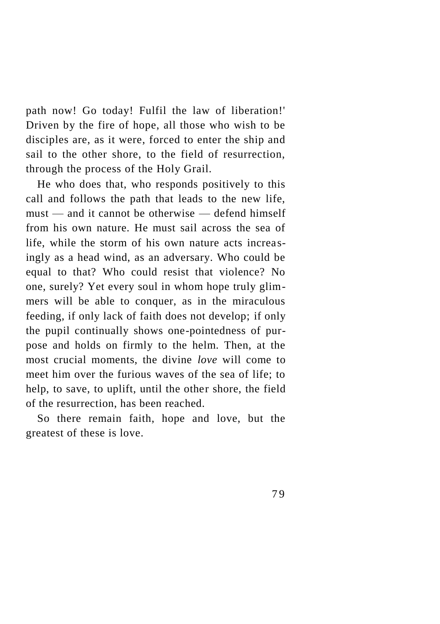path now! Go today! Fulfil the law of liberation!' Driven by the fire of hope, all those who wish to be disciples are, as it were, forced to enter the ship and sail to the other shore, to the field of resurrection, through the process of the Holy Grail.

He who does that, who responds positively to this call and follows the path that leads to the new life, must — and it cannot be otherwise — defend himself from his own nature. He must sail across the sea of life, while the storm of his own nature acts increasingly as a head wind, as an adversary. Who could be equal to that? Who could resist that violence? No one, surely? Yet every soul in whom hope truly glimmers will be able to conquer, as in the miraculous feeding, if only lack of faith does not develop; if only the pupil continually shows one-pointedness of purpose and holds on firmly to the helm. Then, at the most crucial moments, the divine *love* will come to meet him over the furious waves of the sea of life; to help, to save, to uplift, until the other shore, the field of the resurrection, has been reached.

So there remain faith, hope and love, but the greatest of these is love.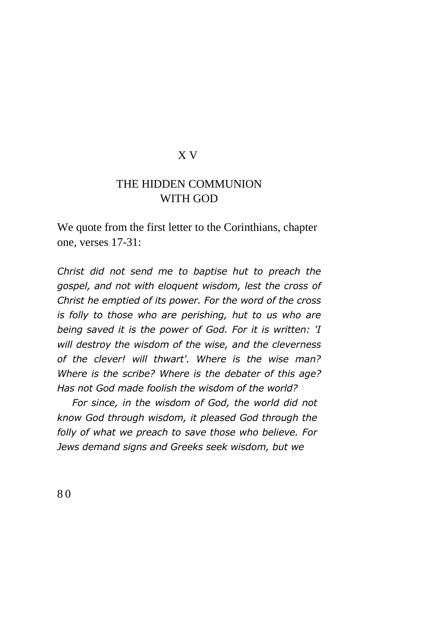#### X V

# THE HIDDEN COMMUNION WITH GOD

We quote from the first letter to the Corinthians, chapter one, verses 17-31:

*Christ did not send me to baptise hut to preach the gospel, and not with eloquent wisdom, lest the cross of Christ he emptied of its power. For the word of the cross is folly to those who are perishing, hut to us who are being saved it is the power of God. For it is written: 'I will destroy the wisdom of the wise, and the cleverness of the clever! will thwart'. Where is the wise man? Where is the scribe? Where is the debater of this age? Has not God made foolish the wisdom of the world?*

*For since, in the wisdom of God, the world did not know God through wisdom, it pleased God through the folly of what we preach to save those who believe. For Jews demand signs and Greeks seek wisdom, but we*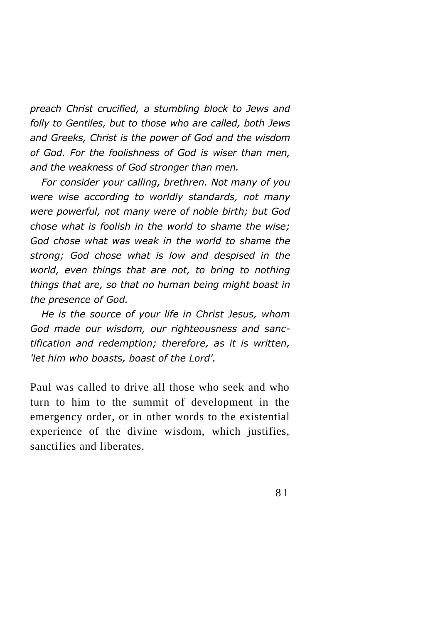*preach Christ crucified, a stumbling block to Jews and folly to Gentiles, but to those who are called, both Jews and Greeks, Christ is the power of God and the wisdom of God. For the foolishness of God is wiser than men, and the weakness of God stronger than men.*

*For consider your calling, brethren. Not many of you were wise according to worldly standards, not many were powerful, not many were of noble birth; but God chose what is foolish in the world to shame the wise; God chose what was weak in the world to shame the strong; God chose what is low and despised in the world, even things that are not, to bring to nothing things that are, so that no human being might boast in the presence of God.*

*He is the source of your life in Christ Jesus, whom God made our wisdom, our righteousness and sanctification and redemption; therefore, as it is written, 'let him who boasts, boast of the Lord'.*

Paul was called to drive all those who seek and who turn to him to the summit of development in the emergency order, or in other words to the existential experience of the divine wisdom, which justifies, sanctifies and liberates.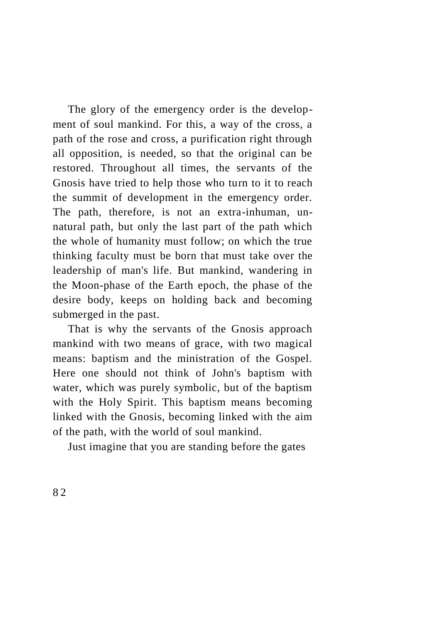The glory of the emergency order is the development of soul mankind. For this, a way of the cross, a path of the rose and cross, a purification right through all opposition, is needed, so that the original can be restored. Throughout all times, the servants of the Gnosis have tried to help those who turn to it to reach the summit of development in the emergency order. The path, therefore, is not an extra-inhuman, unnatural path, but only the last part of the path which the whole of humanity must follow; on which the true thinking faculty must be born that must take over the leadership of man's life. But mankind, wandering in the Moon-phase of the Earth epoch, the phase of the desire body, keeps on holding back and becoming submerged in the past.

That is why the servants of the Gnosis approach mankind with two means of grace, with two magical means: baptism and the ministration of the Gospel. Here one should not think of John's baptism with water, which was purely symbolic, but of the baptism with the Holy Spirit. This baptism means becoming linked with the Gnosis, becoming linked with the aim of the path, with the world of soul mankind.

Just imagine that you are standing before the gates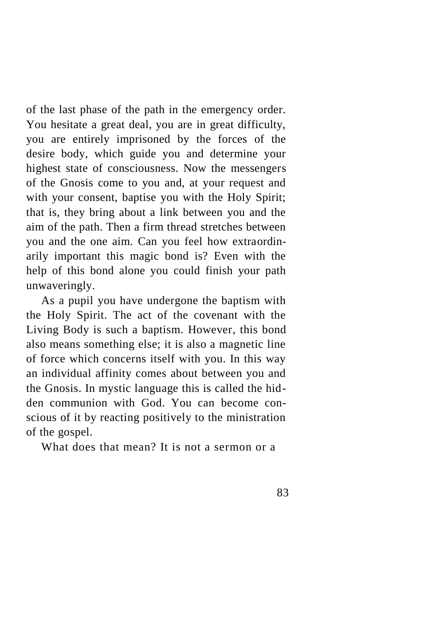of the last phase of the path in the emergency order. You hesitate a great deal, you are in great difficulty, you are entirely imprisoned by the forces of the desire body, which guide you and determine your highest state of consciousness. Now the messengers of the Gnosis come to you and, at your request and with your consent, baptise you with the Holy Spirit; that is, they bring about a link between you and the aim of the path. Then a firm thread stretches between you and the one aim. Can you feel how extraordinarily important this magic bond is? Even with the help of this bond alone you could finish your path unwaveringly.

As a pupil you have undergone the baptism with the Holy Spirit. The act of the covenant with the Living Body is such a baptism. However, this bond also means something else; it is also a magnetic line of force which concerns itself with you. In this way an individual affinity comes about between you and the Gnosis. In mystic language this is called the hidden communion with God. You can become conscious of it by reacting positively to the ministration of the gospel.

What does that mean? It is not a sermon or a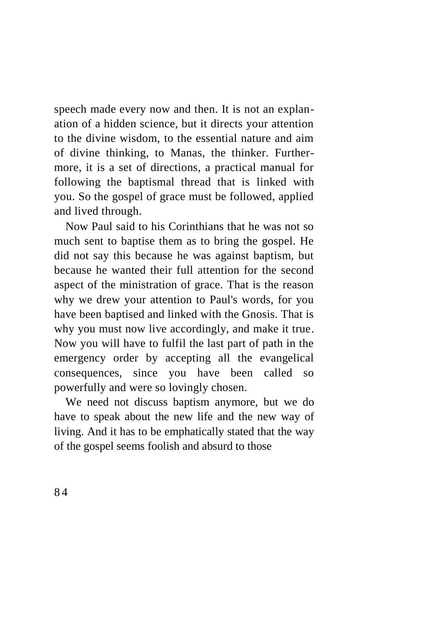speech made every now and then. It is not an explanation of a hidden science, but it directs your attention to the divine wisdom, to the essential nature and aim of divine thinking, to Manas, the thinker. Furthermore, it is a set of directions, a practical manual for following the baptismal thread that is linked with you. So the gospel of grace must be followed, applied and lived through.

Now Paul said to his Corinthians that he was not so much sent to baptise them as to bring the gospel. He did not say this because he was against baptism, but because he wanted their full attention for the second aspect of the ministration of grace. That is the reason why we drew your attention to Paul's words, for you have been baptised and linked with the Gnosis. That is why you must now live accordingly, and make it true. Now you will have to fulfil the last part of path in the emergency order by accepting all the evangelical consequences, since you have been called so powerfully and were so lovingly chosen.

We need not discuss baptism anymore, but we do have to speak about the new life and the new way of living. And it has to be emphatically stated that the way of the gospel seems foolish and absurd to those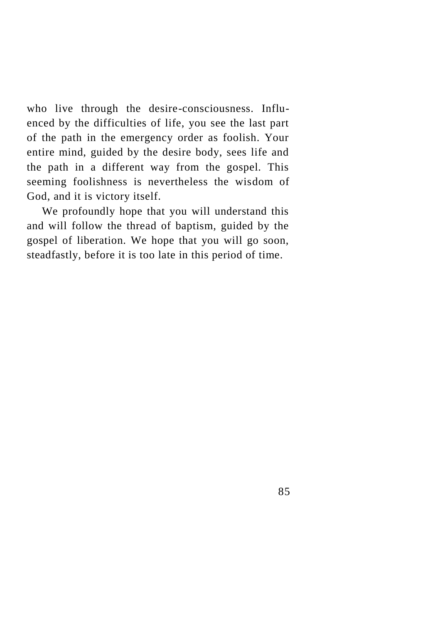who live through the desire-consciousness. Influenced by the difficulties of life, you see the last part of the path in the emergency order as foolish. Your entire mind, guided by the desire body, sees life and the path in a different way from the gospel. This seeming foolishness is nevertheless the wisdom of God, and it is victory itself.

We profoundly hope that you will understand this and will follow the thread of baptism, guided by the gospel of liberation. We hope that you will go soon, steadfastly, before it is too late in this period of time.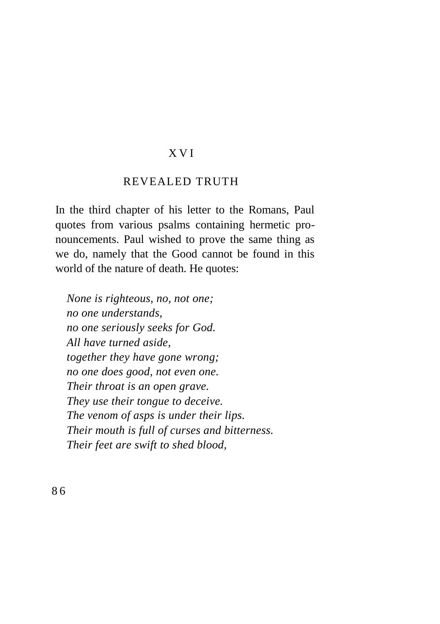#### X V I

#### REVEALED TRUTH

In the third chapter of his letter to the Romans, Paul quotes from various psalms containing hermetic pronouncements. Paul wished to prove the same thing as we do, namely that the Good cannot be found in this world of the nature of death. He quotes:

*None is righteous, no, not one; no one understands, no one seriously seeks for God. All have turned aside, together they have gone wrong; no one does good, not even one. Their throat is an open grave. They use their tongue to deceive. The venom of asps is under their lips. Their mouth is full of curses and bitterness. Their feet are swift to shed blood,*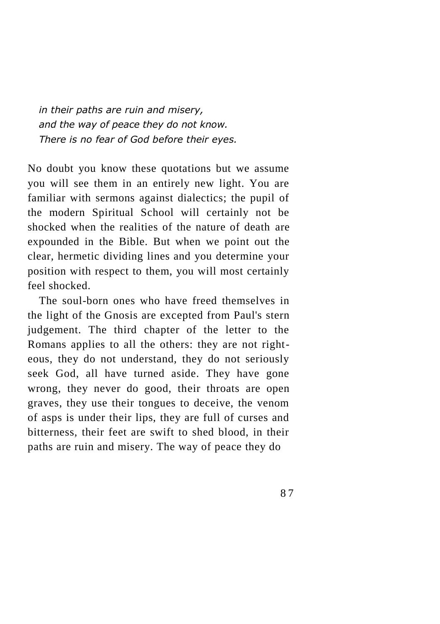*in their paths are ruin and misery, and the way of peace they do not know. There is no fear of God before their eyes.*

No doubt you know these quotations but we assume you will see them in an entirely new light. You are familiar with sermons against dialectics; the pupil of the modern Spiritual School will certainly not be shocked when the realities of the nature of death are expounded in the Bible. But when we point out the clear, hermetic dividing lines and you determine your position with respect to them, you will most certainly feel shocked.

The soul-born ones who have freed themselves in the light of the Gnosis are excepted from Paul's stern judgement. The third chapter of the letter to the Romans applies to all the others: they are not righteous, they do not understand, they do not seriously seek God, all have turned aside. They have gone wrong, they never do good, their throats are open graves, they use their tongues to deceive, the venom of asps is under their lips, they are full of curses and bitterness, their feet are swift to shed blood, in their paths are ruin and misery. The way of peace they do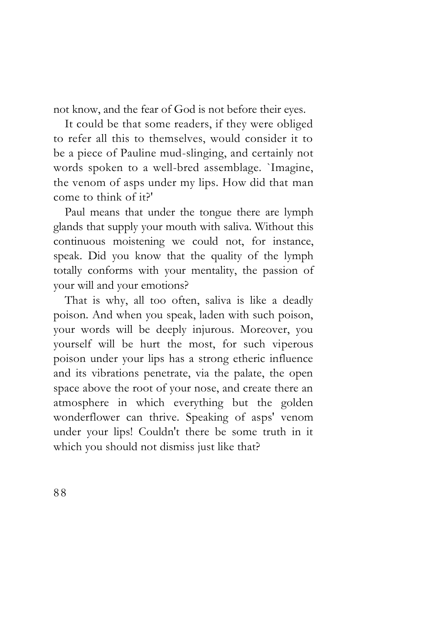not know, and the fear of God is not before their eyes.

It could be that some readers, if they were obliged to refer all this to themselves, would consider it to be a piece of Pauline mud-slinging, and certainly not words spoken to a well-bred assemblage. `Imagine, the venom of asps under my lips. How did that man come to think of it?'

Paul means that under the tongue there are lymph glands that supply your mouth with saliva. Without this continuous moistening we could not, for instance, speak. Did you know that the quality of the lymph totally conforms with your mentality, the passion of your will and your emotions?

That is why, all too often, saliva is like a deadly poison. And when you speak, laden with such poison, your words will be deeply injurous. Moreover, you yourself will be hurt the most, for such viperous poison under your lips has a strong etheric influence and its vibrations penetrate, via the palate, the open space above the root of your nose, and create there an atmosphere in which everything but the golden wonderflower can thrive. Speaking of asps' venom under your lips! Couldn't there be some truth in it which you should not dismiss just like that?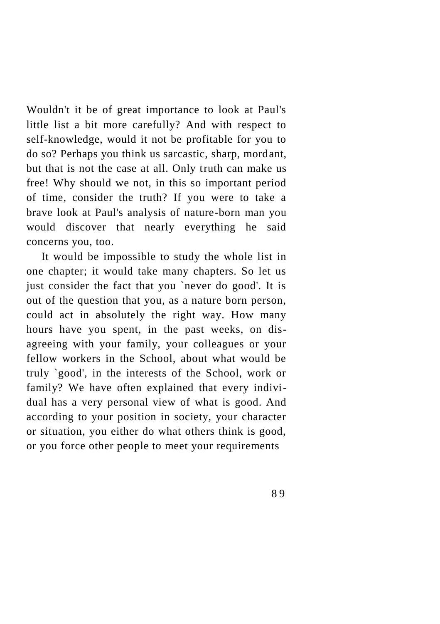Wouldn't it be of great importance to look at Paul's little list a bit more carefully? And with respect to self-knowledge, would it not be profitable for you to do so? Perhaps you think us sarcastic, sharp, mordant, but that is not the case at all. Only truth can make us free! Why should we not, in this so important period of time, consider the truth? If you were to take a brave look at Paul's analysis of nature-born man you would discover that nearly everything he said concerns you, too.

It would be impossible to study the whole list in one chapter; it would take many chapters. So let us just consider the fact that you `never do good'. It is out of the question that you, as a nature born person, could act in absolutely the right way. How many hours have you spent, in the past weeks, on disagreeing with your family, your colleagues or your fellow workers in the School, about what would be truly `good', in the interests of the School, work or family? We have often explained that every individual has a very personal view of what is good. And according to your position in society, your character or situation, you either do what others think is good, or you force other people to meet your requirements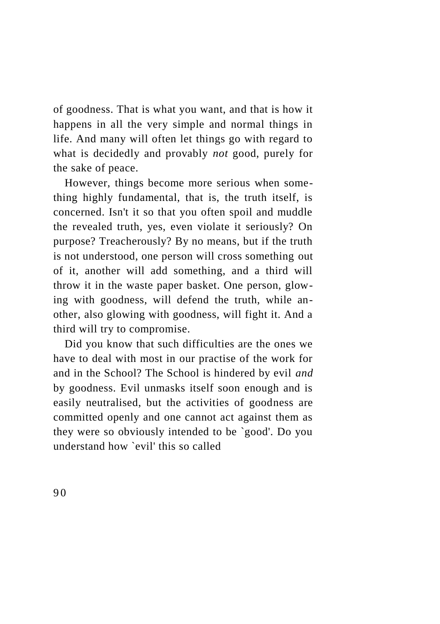of goodness. That is what you want, and that is how it happens in all the very simple and normal things in life. And many will often let things go with regard to what is decidedly and provably *not* good, purely for the sake of peace.

However, things become more serious when something highly fundamental, that is, the truth itself, is concerned. Isn't it so that you often spoil and muddle the revealed truth, yes, even violate it seriously? On purpose? Treacherously? By no means, but if the truth is not understood, one person will cross something out of it, another will add something, and a third will throw it in the waste paper basket. One person, glowing with goodness, will defend the truth, while another, also glowing with goodness, will fight it. And a third will try to compromise.

Did you know that such difficulties are the ones we have to deal with most in our practise of the work for and in the School? The School is hindered by evil *and*  by goodness. Evil unmasks itself soon enough and is easily neutralised, but the activities of goodness are committed openly and one cannot act against them as they were so obviously intended to be `good'. Do you understand how `evil' this so called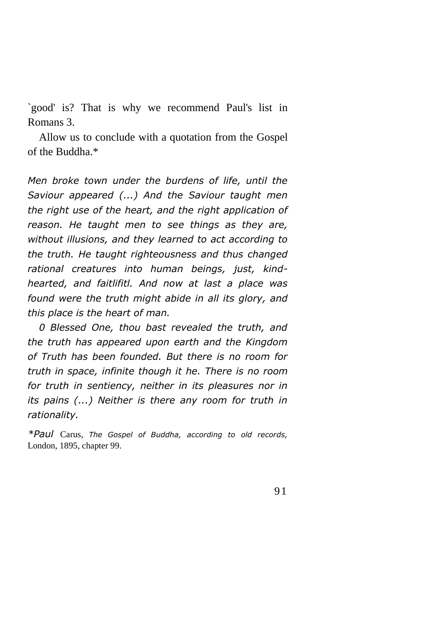`good' is? That is why we recommend Paul's list in Romans 3.

Allow us to conclude with a quotation from the Gospel of the Buddha.\*

*Men broke town under the burdens of life, until the Saviour appeared (...) And the Saviour taught men the right use of the heart, and the right application of reason. He taught men to see things as they are, without illusions, and they learned to act according to the truth. He taught righteousness and thus changed rational creatures into human beings, just, kindhearted, and faitlifitl. And now at last a place was found were the truth might abide in all its glory, and this place is the heart of man.*

*0 Blessed One, thou bast revealed the truth, and the truth has appeared upon earth and the Kingdom of Truth has been founded. But there is no room for truth in space, infinite though it he. There is no room*  for truth in sentiency, neither in its pleasures nor in *its pains (...) Neither is there any room for truth in rationality.*

*\*Paul* Carus, *The Gospel of Buddha, according to old records,*  London, 1895, chapter 99.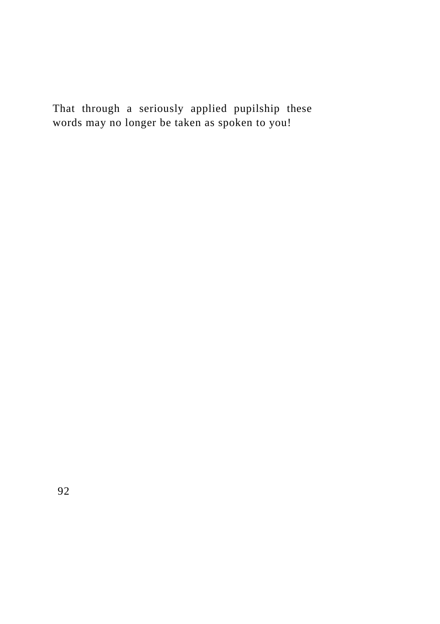That through a seriously applied pupilship these words may no longer be taken as spoken to you!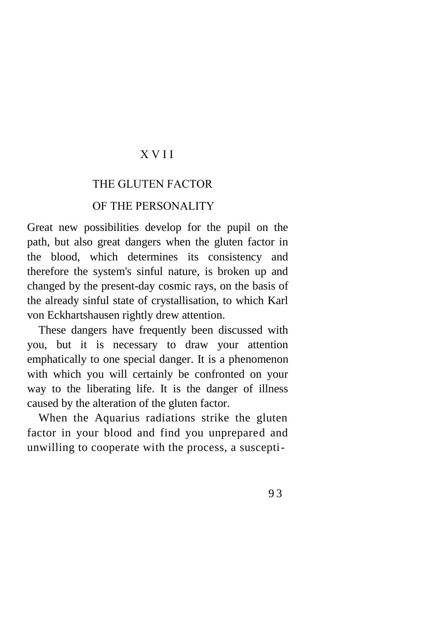## X V I I

## THE GLUTEN FACTOR

## OF THE PERSONALITY

Great new possibilities develop for the pupil on the path, but also great dangers when the gluten factor in the blood, which determines its consistency and therefore the system's sinful nature, is broken up and changed by the present-day cosmic rays, on the basis of the already sinful state of crystallisation, to which Karl von Eckhartshausen rightly drew attention.

These dangers have frequently been discussed with you, but it is necessary to draw your attention emphatically to one special danger. It is a phenomenon with which you will certainly be confronted on your way to the liberating life. It is the danger of illness caused by the alteration of the gluten factor.

When the Aquarius radiations strike the gluten factor in your blood and find you unprepared and unwilling to cooperate with the process, a suscepti-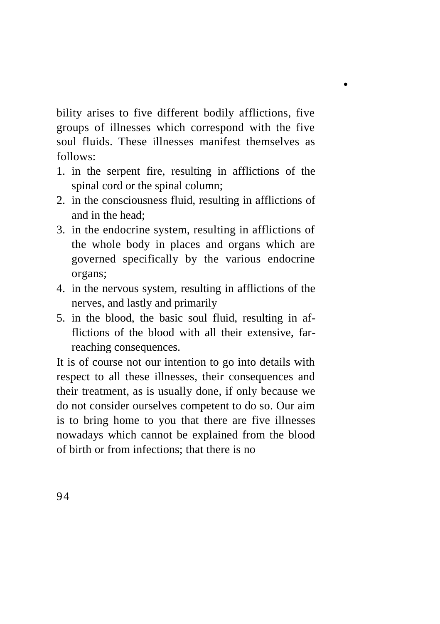bility arises to five different bodily afflictions, five groups of illnesses which correspond with the five soul fluids. These illnesses manifest themselves as follows:

•

- 1. in the serpent fire, resulting in afflictions of the spinal cord or the spinal column;
- 2. in the consciousness fluid, resulting in afflictions of and in the head;
- 3. in the endocrine system, resulting in afflictions of the whole body in places and organs which are governed specifically by the various endocrine organs;
- 4. in the nervous system, resulting in afflictions of the nerves, and lastly and primarily
- 5. in the blood, the basic soul fluid, resulting in afflictions of the blood with all their extensive, farreaching consequences.

It is of course not our intention to go into details with respect to all these illnesses, their consequences and their treatment, as is usually done, if only because we do not consider ourselves competent to do so. Our aim is to bring home to you that there are five illnesses nowadays which cannot be explained from the blood of birth or from infections; that there is no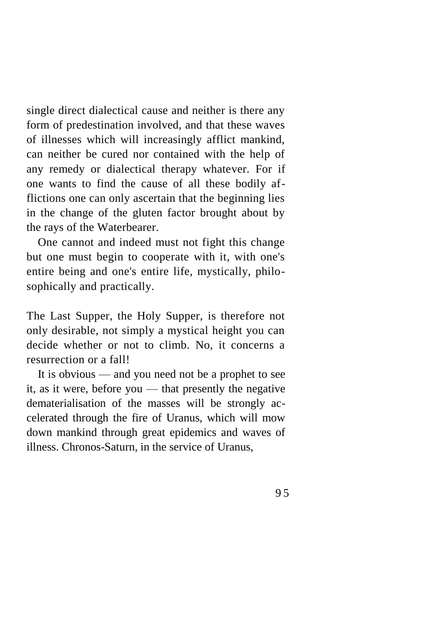single direct dialectical cause and neither is there any form of predestination involved, and that these waves of illnesses which will increasingly afflict mankind, can neither be cured nor contained with the help of any remedy or dialectical therapy whatever. For if one wants to find the cause of all these bodily afflictions one can only ascertain that the beginning lies in the change of the gluten factor brought about by the rays of the Waterbearer.

One cannot and indeed must not fight this change but one must begin to cooperate with it, with one's entire being and one's entire life, mystically, philosophically and practically.

The Last Supper, the Holy Supper, is therefore not only desirable, not simply a mystical height you can decide whether or not to climb. No, it concerns a resurrection or a fall!

It is obvious — and you need not be a prophet to see it, as it were, before you — that presently the negative dematerialisation of the masses will be strongly accelerated through the fire of Uranus, which will mow down mankind through great epidemics and waves of illness. Chronos-Saturn, in the service of Uranus,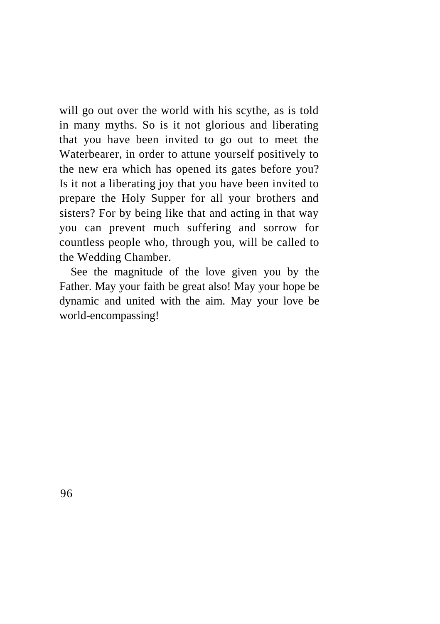will go out over the world with his scythe, as is told in many myths. So is it not glorious and liberating that you have been invited to go out to meet the Waterbearer, in order to attune yourself positively to the new era which has opened its gates before you? Is it not a liberating joy that you have been invited to prepare the Holy Supper for all your brothers and sisters? For by being like that and acting in that way you can prevent much suffering and sorrow for countless people who, through you, will be called to the Wedding Chamber.

See the magnitude of the love given you by the Father. May your faith be great also! May your hope be dynamic and united with the aim. May your love be world-encompassing!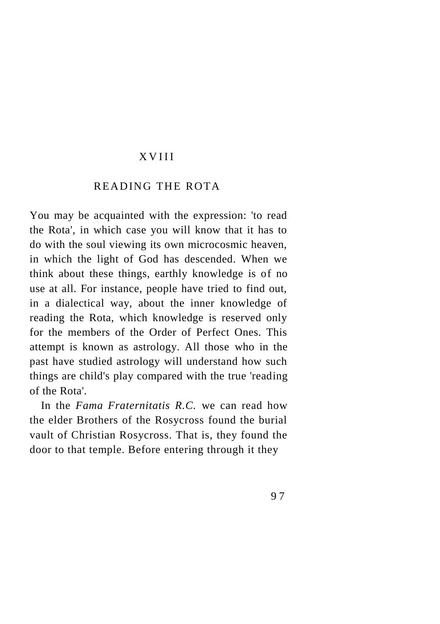### **XVIII**

### READING THE ROTA

You may be acquainted with the expression: 'to read the Rota', in which case you will know that it has to do with the soul viewing its own microcosmic heaven, in which the light of God has descended. When we think about these things, earthly knowledge is of no use at all. For instance, people have tried to find out, in a dialectical way, about the inner knowledge of reading the Rota, which knowledge is reserved only for the members of the Order of Perfect Ones. This attempt is known as astrology. All those who in the past have studied astrology will understand how such things are child's play compared with the true 'reading of the Rota'.

In the *Fama Fraternitatis R.C.* we can read how the elder Brothers of the Rosycross found the burial vault of Christian Rosycross. That is, they found the door to that temple. Before entering through it they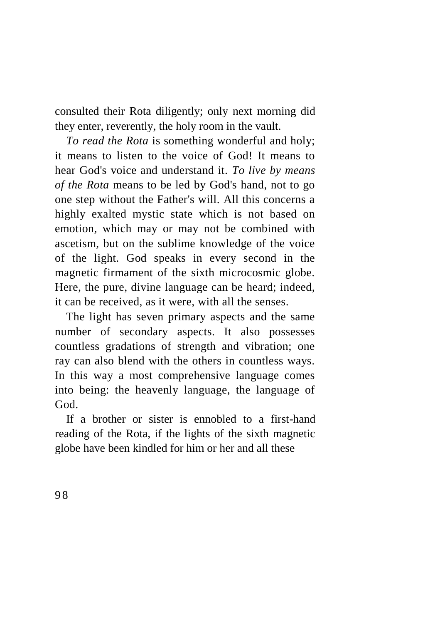consulted their Rota diligently; only next morning did they enter, reverently, the holy room in the vault.

*To read the Rota* is something wonderful and holy; it means to listen to the voice of God! It means to hear God's voice and understand it. *To live by means of the Rota* means to be led by God's hand, not to go one step without the Father's will. All this concerns a highly exalted mystic state which is not based on emotion, which may or may not be combined with ascetism, but on the sublime knowledge of the voice of the light. God speaks in every second in the magnetic firmament of the sixth microcosmic globe. Here, the pure, divine language can be heard; indeed, it can be received, as it were, with all the senses.

The light has seven primary aspects and the same number of secondary aspects. It also possesses countless gradations of strength and vibration; one ray can also blend with the others in countless ways. In this way a most comprehensive language comes into being: the heavenly language, the language of God.

If a brother or sister is ennobled to a first-hand reading of the Rota, if the lights of the sixth magnetic globe have been kindled for him or her and all these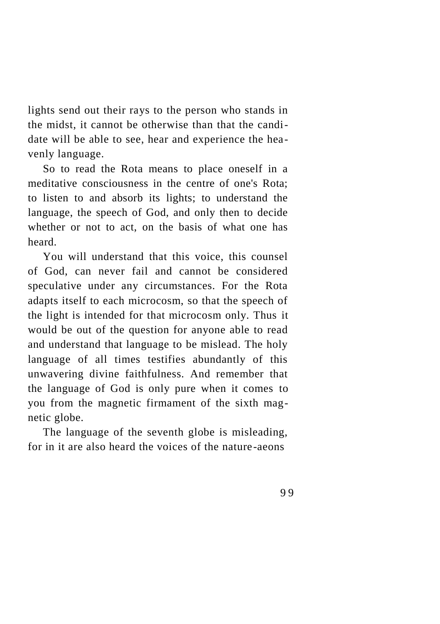lights send out their rays to the person who stands in the midst, it cannot be otherwise than that the candidate will be able to see, hear and experience the heavenly language.

So to read the Rota means to place oneself in a meditative consciousness in the centre of one's Rota; to listen to and absorb its lights; to understand the language, the speech of God, and only then to decide whether or not to act, on the basis of what one has heard.

You will understand that this voice, this counsel of God, can never fail and cannot be considered speculative under any circumstances. For the Rota adapts itself to each microcosm, so that the speech of the light is intended for that microcosm only. Thus it would be out of the question for anyone able to read and understand that language to be mislead. The holy language of all times testifies abundantly of this unwavering divine faithfulness. And remember that the language of God is only pure when it comes to you from the magnetic firmament of the sixth magnetic globe.

The language of the seventh globe is misleading, for in it are also heard the voices of the nature-aeons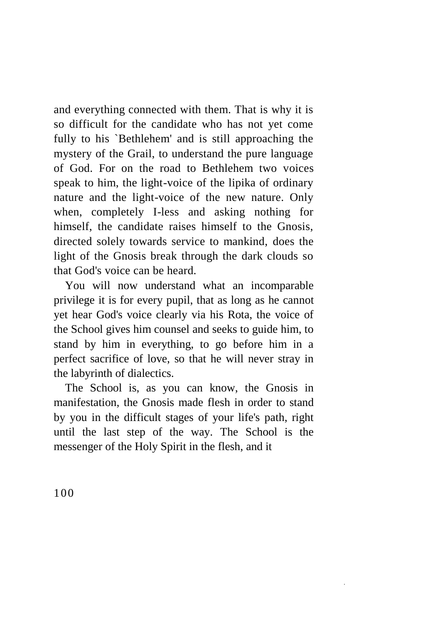and everything connected with them. That is why it is so difficult for the candidate who has not yet come fully to his `Bethlehem' and is still approaching the mystery of the Grail, to understand the pure language of God. For on the road to Bethlehem two voices speak to him, the light-voice of the lipika of ordinary nature and the light-voice of the new nature. Only when, completely I-less and asking nothing for himself, the candidate raises himself to the Gnosis, directed solely towards service to mankind, does the light of the Gnosis break through the dark clouds so that God's voice can be heard.

You will now understand what an incomparable privilege it is for every pupil, that as long as he cannot yet hear God's voice clearly via his Rota, the voice of the School gives him counsel and seeks to guide him, to stand by him in everything, to go before him in a perfect sacrifice of love, so that he will never stray in the labyrinth of dialectics.

The School is, as you can know, the Gnosis in manifestation, the Gnosis made flesh in order to stand by you in the difficult stages of your life's path, right until the last step of the way. The School is the messenger of the Holy Spirit in the flesh, and it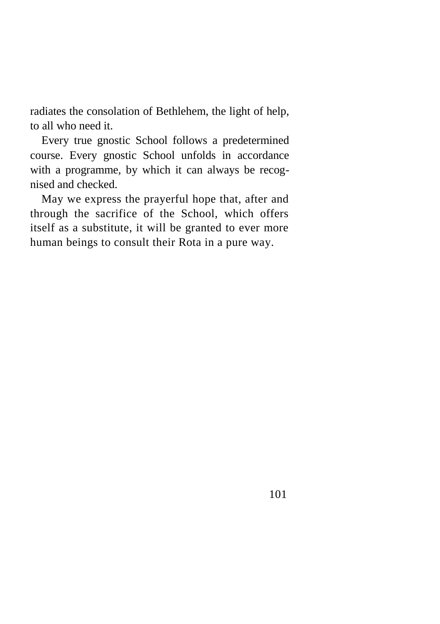radiates the consolation of Bethlehem, the light of help, to all who need it.

Every true gnostic School follows a predetermined course. Every gnostic School unfolds in accordance with a programme, by which it can always be recognised and checked.

May we express the prayerful hope that, after and through the sacrifice of the School, which offers itself as a substitute, it will be granted to ever more human beings to consult their Rota in a pure way.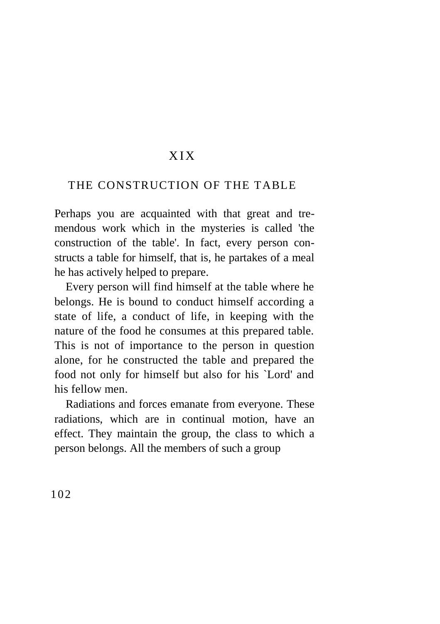# X I X

## THE CONSTRUCTION OF THE TABLE

Perhaps you are acquainted with that great and tremendous work which in the mysteries is called 'the construction of the table'. In fact, every person constructs a table for himself, that is, he partakes of a meal he has actively helped to prepare.

Every person will find himself at the table where he belongs. He is bound to conduct himself according a state of life, a conduct of life, in keeping with the nature of the food he consumes at this prepared table. This is not of importance to the person in question alone, for he constructed the table and prepared the food not only for himself but also for his `Lord' and his fellow men.

Radiations and forces emanate from everyone. These radiations, which are in continual motion, have an effect. They maintain the group, the class to which a person belongs. All the members of such a group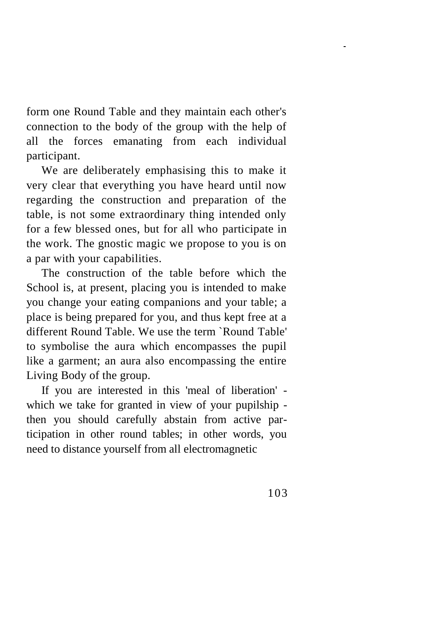form one Round Table and they maintain each other's connection to the body of the group with the help of all the forces emanating from each individual participant.

We are deliberately emphasising this to make it very clear that everything you have heard until now regarding the construction and preparation of the table, is not some extraordinary thing intended only for a few blessed ones, but for all who participate in the work. The gnostic magic we propose to you is on a par with your capabilities.

The construction of the table before which the School is, at present, placing you is intended to make you change your eating companions and your table; a place is being prepared for you, and thus kept free at a different Round Table. We use the term `Round Table' to symbolise the aura which encompasses the pupil like a garment; an aura also encompassing the entire Living Body of the group.

If you are interested in this 'meal of liberation' which we take for granted in view of your pupilship then you should carefully abstain from active participation in other round tables; in other words, you need to distance yourself from all electromagnetic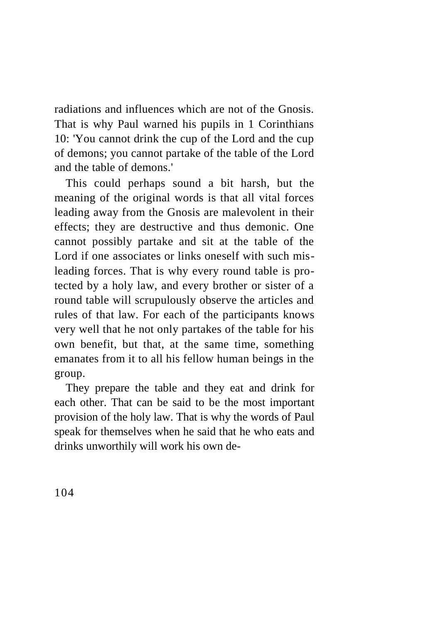radiations and influences which are not of the Gnosis. That is why Paul warned his pupils in 1 Corinthians 10: 'You cannot drink the cup of the Lord and the cup of demons; you cannot partake of the table of the Lord and the table of demons.'

This could perhaps sound a bit harsh, but the meaning of the original words is that all vital forces leading away from the Gnosis are malevolent in their effects; they are destructive and thus demonic. One cannot possibly partake and sit at the table of the Lord if one associates or links oneself with such misleading forces. That is why every round table is protected by a holy law, and every brother or sister of a round table will scrupulously observe the articles and rules of that law. For each of the participants knows very well that he not only partakes of the table for his own benefit, but that, at the same time, something emanates from it to all his fellow human beings in the group.

They prepare the table and they eat and drink for each other. That can be said to be the most important provision of the holy law. That is why the words of Paul speak for themselves when he said that he who eats and drinks unworthily will work his own de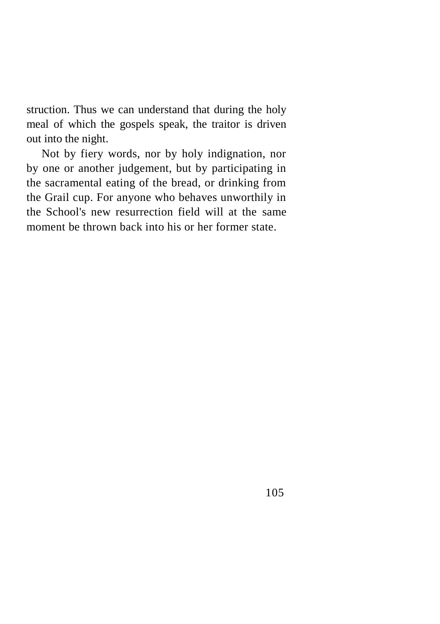struction. Thus we can understand that during the holy meal of which the gospels speak, the traitor is driven out into the night.

Not by fiery words, nor by holy indignation, nor by one or another judgement, but by participating in the sacramental eating of the bread, or drinking from the Grail cup. For anyone who behaves unworthily in the School's new resurrection field will at the same moment be thrown back into his or her former state.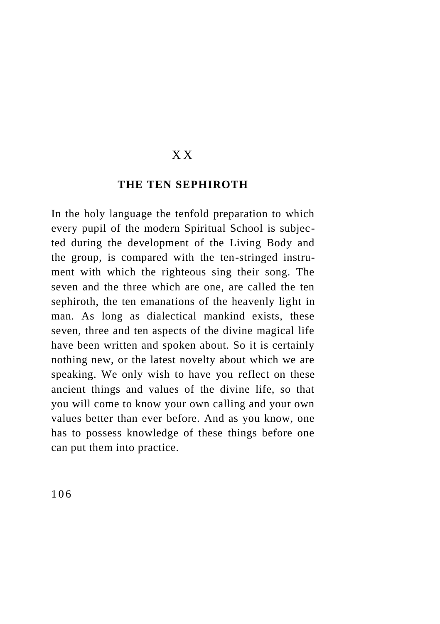## X X

#### **THE TEN SEPHIROTH**

In the holy language the tenfold preparation to which every pupil of the modern Spiritual School is subjected during the development of the Living Body and the group, is compared with the ten-stringed instrument with which the righteous sing their song. The seven and the three which are one, are called the ten sephiroth, the ten emanations of the heavenly light in man. As long as dialectical mankind exists, these seven, three and ten aspects of the divine magical life have been written and spoken about. So it is certainly nothing new, or the latest novelty about which we are speaking. We only wish to have you reflect on these ancient things and values of the divine life, so that you will come to know your own calling and your own values better than ever before. And as you know, one has to possess knowledge of these things before one can put them into practice.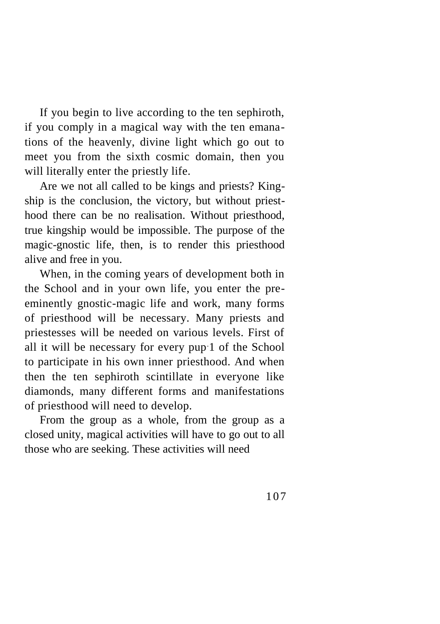If you begin to live according to the ten sephiroth, if you comply in a magical way with the ten emanations of the heavenly, divine light which go out to meet you from the sixth cosmic domain, then you will literally enter the priestly life.

Are we not all called to be kings and priests? Kingship is the conclusion, the victory, but without priesthood there can be no realisation. Without priesthood, true kingship would be impossible. The purpose of the magic-gnostic life, then, is to render this priesthood alive and free in you.

When, in the coming years of development both in the School and in your own life, you enter the preeminently gnostic-magic life and work, many forms of priesthood will be necessary. Many priests and priestesses will be needed on various levels. First of all it will be necessary for every pup.1 of the School to participate in his own inner priesthood. And when then the ten sephiroth scintillate in everyone like diamonds, many different forms and manifestations of priesthood will need to develop.

From the group as a whole, from the group as a closed unity, magical activities will have to go out to all those who are seeking. These activities will need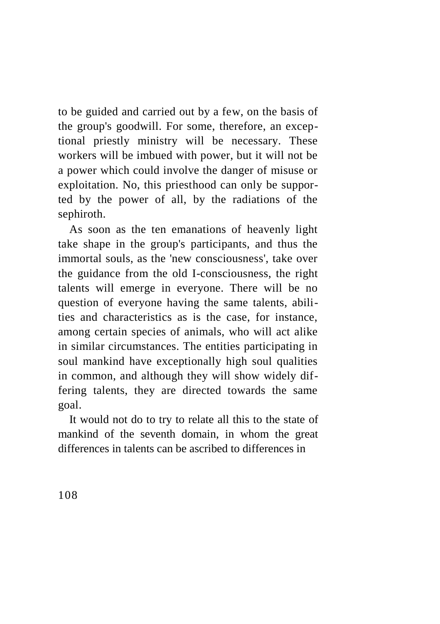to be guided and carried out by a few, on the basis of the group's goodwill. For some, therefore, an exceptional priestly ministry will be necessary. These workers will be imbued with power, but it will not be a power which could involve the danger of misuse or exploitation. No, this priesthood can only be supported by the power of all, by the radiations of the sephiroth.

As soon as the ten emanations of heavenly light take shape in the group's participants, and thus the immortal souls, as the 'new consciousness', take over the guidance from the old I-consciousness, the right talents will emerge in everyone. There will be no question of everyone having the same talents, abilities and characteristics as is the case, for instance, among certain species of animals, who will act alike in similar circumstances. The entities participating in soul mankind have exceptionally high soul qualities in common, and although they will show widely differing talents, they are directed towards the same goal.

It would not do to try to relate all this to the state of mankind of the seventh domain, in whom the great differences in talents can be ascribed to differences in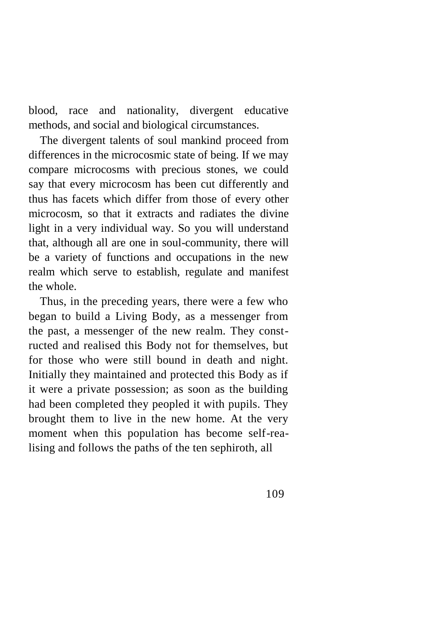blood, race and nationality, divergent educative methods, and social and biological circumstances.

The divergent talents of soul mankind proceed from differences in the microcosmic state of being. If we may compare microcosms with precious stones, we could say that every microcosm has been cut differently and thus has facets which differ from those of every other microcosm, so that it extracts and radiates the divine light in a very individual way. So you will understand that, although all are one in soul-community, there will be a variety of functions and occupations in the new realm which serve to establish, regulate and manifest the whole.

Thus, in the preceding years, there were a few who began to build a Living Body, as a messenger from the past, a messenger of the new realm. They constructed and realised this Body not for themselves, but for those who were still bound in death and night. Initially they maintained and protected this Body as if it were a private possession; as soon as the building had been completed they peopled it with pupils. They brought them to live in the new home. At the very moment when this population has become self-realising and follows the paths of the ten sephiroth, all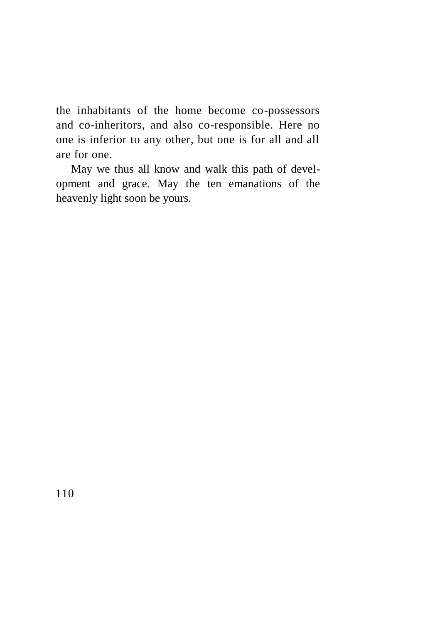the inhabitants of the home become co-possessors and co-inheritors, and also co-responsible. Here no one is inferior to any other, but one is for all and all are for one.

May we thus all know and walk this path of development and grace. May the ten emanations of the heavenly light soon be yours.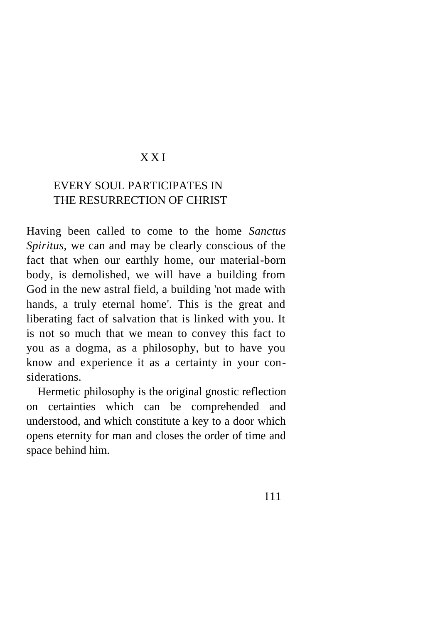## X X I

## EVERY SOUL PARTICIPATES IN THE RESURRECTION OF CHRIST

Having been called to come to the home *Sanctus Spiritus,* we can and may be clearly conscious of the fact that when our earthly home, our material-born body, is demolished, we will have a building from God in the new astral field, a building 'not made with hands, a truly eternal home'. This is the great and liberating fact of salvation that is linked with you. It is not so much that we mean to convey this fact to you as a dogma, as a philosophy, but to have you know and experience it as a certainty in your considerations.

Hermetic philosophy is the original gnostic reflection on certainties which can be comprehended and understood, and which constitute a key to a door which opens eternity for man and closes the order of time and space behind him.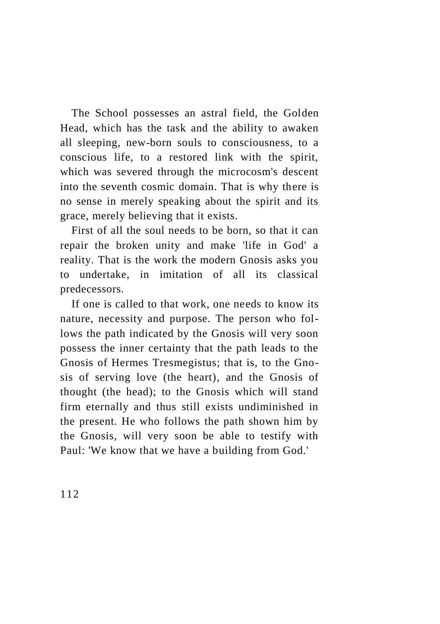The School possesses an astral field, the Golden Head, which has the task and the ability to awaken all sleeping, new-born souls to consciousness, to a conscious life, to a restored link with the spirit, which was severed through the microcosm's descent into the seventh cosmic domain. That is why there is no sense in merely speaking about the spirit and its grace, merely believing that it exists.

First of all the soul needs to be born, so that it can repair the broken unity and make 'life in God' a reality. That is the work the modern Gnosis asks you to undertake, in imitation of all its classical predecessors.

If one is called to that work, one needs to know its nature, necessity and purpose. The person who follows the path indicated by the Gnosis will very soon possess the inner certainty that the path leads to the Gnosis of Hermes Tresmegistus; that is, to the Gnosis of serving love (the heart), and the Gnosis of thought (the head); to the Gnosis which will stand firm eternally and thus still exists undiminished in the present. He who follows the path shown him by the Gnosis, will very soon be able to testify with Paul: 'We know that we have a building from God.'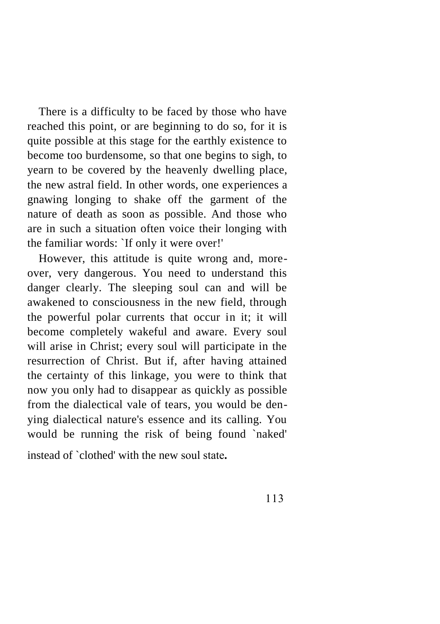There is a difficulty to be faced by those who have reached this point, or are beginning to do so, for it is quite possible at this stage for the earthly existence to become too burdensome, so that one begins to sigh, to yearn to be covered by the heavenly dwelling place, the new astral field. In other words, one experiences a gnawing longing to shake off the garment of the nature of death as soon as possible. And those who are in such a situation often voice their longing with the familiar words: `If only it were over!'

However, this attitude is quite wrong and, moreover, very dangerous. You need to understand this danger clearly. The sleeping soul can and will be awakened to consciousness in the new field, through the powerful polar currents that occur in it; it will become completely wakeful and aware. Every soul will arise in Christ; every soul will participate in the resurrection of Christ. But if, after having attained the certainty of this linkage, you were to think that now you only had to disappear as quickly as possible from the dialectical vale of tears, you would be denying dialectical nature's essence and its calling. You would be running the risk of being found `naked'

instead of `clothed' with the new soul state**.**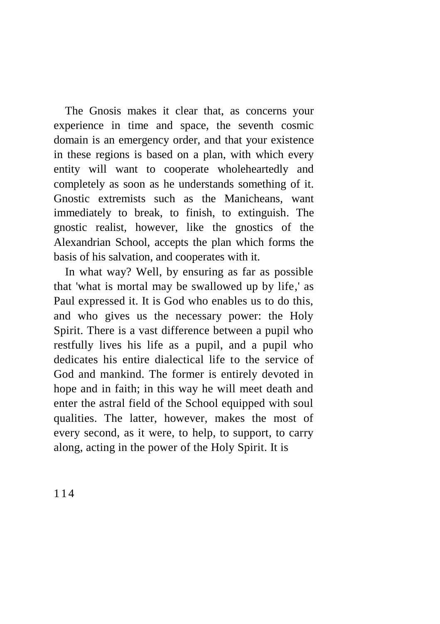The Gnosis makes it clear that, as concerns your experience in time and space, the seventh cosmic domain is an emergency order, and that your existence in these regions is based on a plan, with which every entity will want to cooperate wholeheartedly and completely as soon as he understands something of it. Gnostic extremists such as the Manicheans, want immediately to break, to finish, to extinguish. The gnostic realist, however, like the gnostics of the Alexandrian School, accepts the plan which forms the basis of his salvation, and cooperates with it.

In what way? Well, by ensuring as far as possible that 'what is mortal may be swallowed up by life,' as Paul expressed it. It is God who enables us to do this, and who gives us the necessary power: the Holy Spirit. There is a vast difference between a pupil who restfully lives his life as a pupil, and a pupil who dedicates his entire dialectical life to the service of God and mankind. The former is entirely devoted in hope and in faith; in this way he will meet death and enter the astral field of the School equipped with soul qualities. The latter, however, makes the most of every second, as it were, to help, to support, to carry along, acting in the power of the Holy Spirit. It is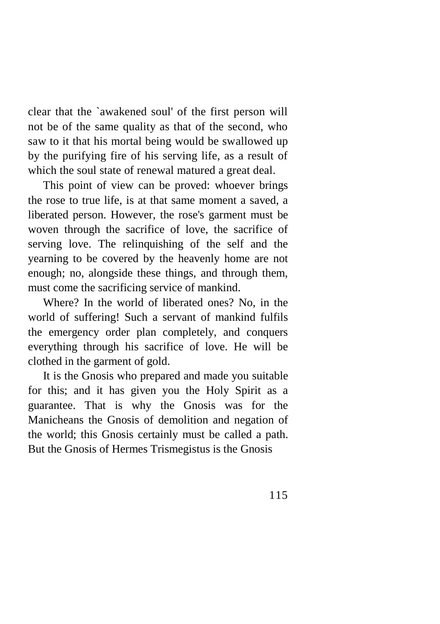clear that the `awakened soul' of the first person will not be of the same quality as that of the second, who saw to it that his mortal being would be swallowed up by the purifying fire of his serving life, as a result of which the soul state of renewal matured a great deal.

This point of view can be proved: whoever brings the rose to true life, is at that same moment a saved, a liberated person. However, the rose's garment must be woven through the sacrifice of love, the sacrifice of serving love. The relinquishing of the self and the yearning to be covered by the heavenly home are not enough; no, alongside these things, and through them, must come the sacrificing service of mankind.

Where? In the world of liberated ones? No, in the world of suffering! Such a servant of mankind fulfils the emergency order plan completely, and conquers everything through his sacrifice of love. He will be clothed in the garment of gold.

It is the Gnosis who prepared and made you suitable for this; and it has given you the Holy Spirit as a guarantee. That is why the Gnosis was for the Manicheans the Gnosis of demolition and negation of the world; this Gnosis certainly must be called a path. But the Gnosis of Hermes Trismegistus is the Gnosis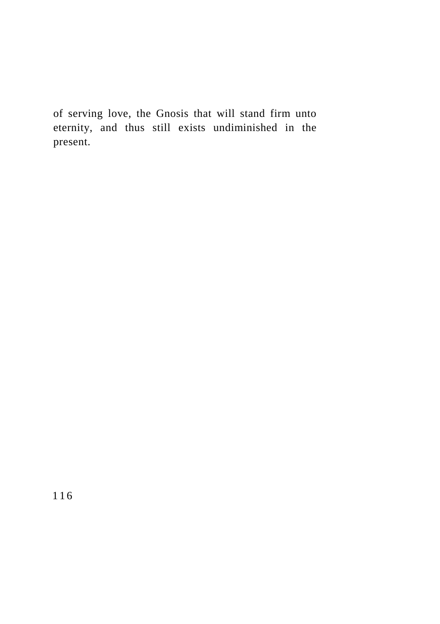of serving love, the Gnosis that will stand firm unto eternity, and thus still exists undiminished in the present.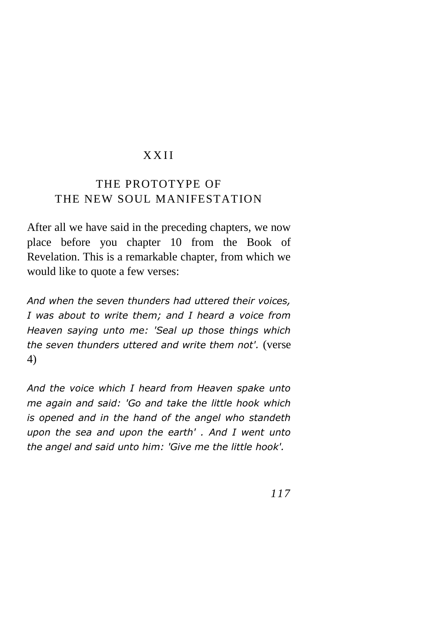## X X I I

## THE PROTOTYPE OF THE NEW SOUL MANIFESTATION

After all we have said in the preceding chapters, we now place before you chapter 10 from the Book of Revelation. This is a remarkable chapter, from which we would like to quote a few verses:

*And when the seven thunders had uttered their voices, I was about to write them; and I heard a voice from Heaven saying unto me: 'Seal up those things which the seven thunders uttered and write them not'.* (verse 4)

*And the voice which I heard from Heaven spake unto me again and said: 'Go and take the little hook which is opened and in the hand of the angel who standeth upon the sea and upon the earth' . And I went unto the angel and said unto him: 'Give me the little hook'.*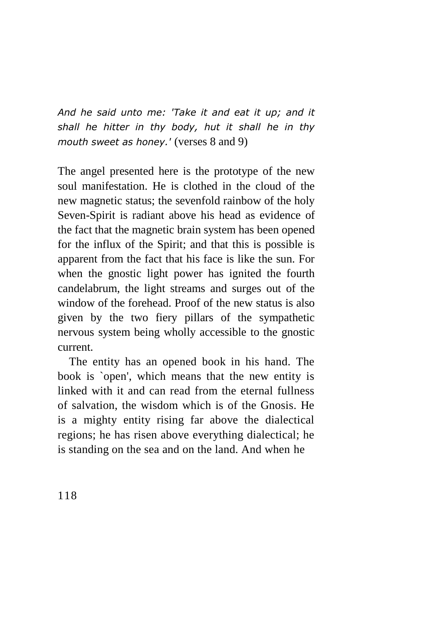*And he said unto me: 'Take it and eat it up; and it shall he hitter in thy body, hut it shall he in thy mouth sweet as honey.'* (verses 8 and 9)

The angel presented here is the prototype of the new soul manifestation. He is clothed in the cloud of the new magnetic status; the sevenfold rainbow of the holy Seven-Spirit is radiant above his head as evidence of the fact that the magnetic brain system has been opened for the influx of the Spirit; and that this is possible is apparent from the fact that his face is like the sun. For when the gnostic light power has ignited the fourth candelabrum, the light streams and surges out of the window of the forehead. Proof of the new status is also given by the two fiery pillars of the sympathetic nervous system being wholly accessible to the gnostic current.

The entity has an opened book in his hand. The book is `open', which means that the new entity is linked with it and can read from the eternal fullness of salvation, the wisdom which is of the Gnosis. He is a mighty entity rising far above the dialectical regions; he has risen above everything dialectical; he is standing on the sea and on the land. And when he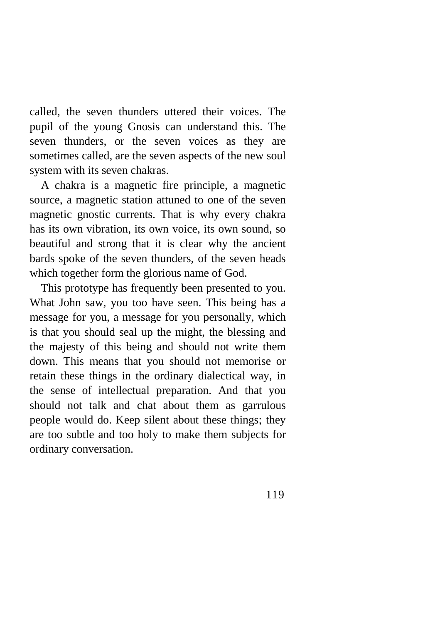called, the seven thunders uttered their voices. The pupil of the young Gnosis can understand this. The seven thunders, or the seven voices as they are sometimes called, are the seven aspects of the new soul system with its seven chakras.

A chakra is a magnetic fire principle, a magnetic source, a magnetic station attuned to one of the seven magnetic gnostic currents. That is why every chakra has its own vibration, its own voice, its own sound, so beautiful and strong that it is clear why the ancient bards spoke of the seven thunders, of the seven heads which together form the glorious name of God.

This prototype has frequently been presented to you. What John saw, you too have seen. This being has a message for you, a message for you personally, which is that you should seal up the might, the blessing and the majesty of this being and should not write them down. This means that you should not memorise or retain these things in the ordinary dialectical way, in the sense of intellectual preparation. And that you should not talk and chat about them as garrulous people would do. Keep silent about these things; they are too subtle and too holy to make them subjects for ordinary conversation.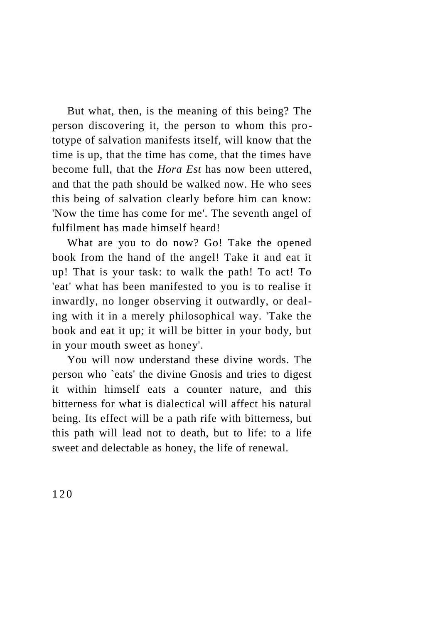But what, then, is the meaning of this being? The person discovering it, the person to whom this prototype of salvation manifests itself, will know that the time is up, that the time has come, that the times have become full, that the *Hora Est* has now been uttered, and that the path should be walked now. He who sees this being of salvation clearly before him can know: 'Now the time has come for me'. The seventh angel of fulfilment has made himself heard!

What are you to do now? Go! Take the opened book from the hand of the angel! Take it and eat it up! That is your task: to walk the path! To act! To 'eat' what has been manifested to you is to realise it inwardly, no longer observing it outwardly, or dealing with it in a merely philosophical way. 'Take the book and eat it up; it will be bitter in your body, but in your mouth sweet as honey'.

You will now understand these divine words. The person who `eats' the divine Gnosis and tries to digest it within himself eats a counter nature, and this bitterness for what is dialectical will affect his natural being. Its effect will be a path rife with bitterness, but this path will lead not to death, but to life: to a life sweet and delectable as honey, the life of renewal.